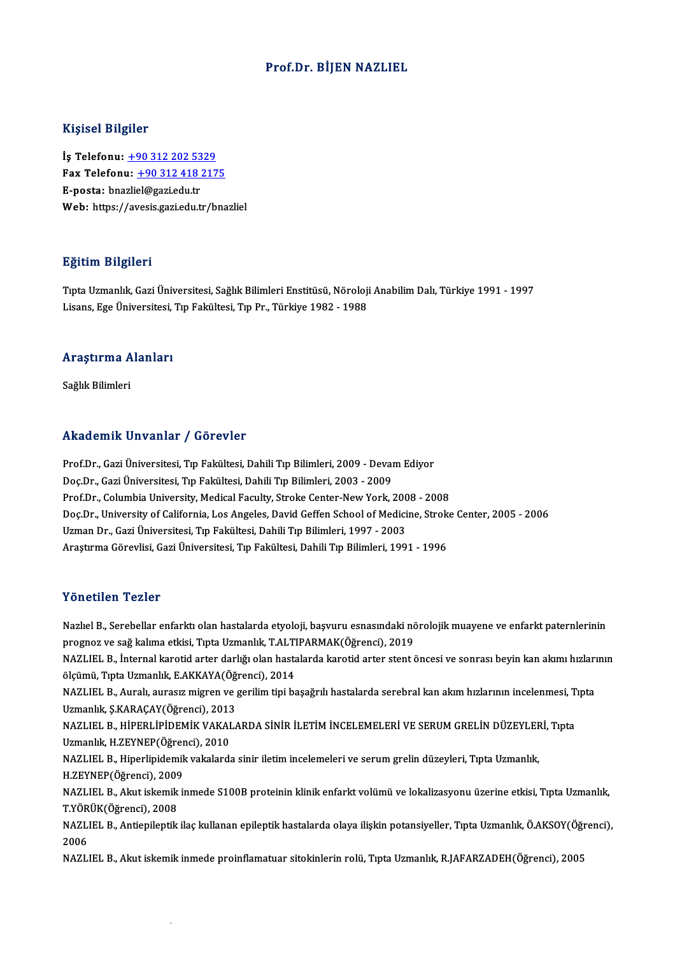#### Prof.Dr. BİJEN NAZLIEL

#### Kişisel Bilgiler

Kişisel Bilgiler<br>İş Telefonu: <u>+90 312 202 5329</u><br>Fax Telefonu: 190 312 418 317 Fax Telefonu:  $+903124182175$ <br>E-posta: bnazliel@gazi.edu.tr İş Telefonu: <u>+90 312 202 53</u><br>Fax Telefonu: <u>+90 312 418 ;</u><br>E-posta: bna[zli](tel:+90 312 202 5329)[el@gazi.edu.tr](tel:+90 312 418 2175)<br>Web: bttps://avosis.gazi.edu.tr Web: https://avesis.gazi.edu.tr/bnazliel

#### Eğitim Bilgileri

**Eğitim Bilgileri**<br>Tıpta Uzmanlık, Gazi Üniversitesi, Sağlık Bilimleri Enstitüsü, Nöroloji Anabilim Dalı, Türkiye 1991 - 1997<br>Lisans, Ese Üniversitesi, Tıp Fakültesi, Tıp Pr., Türkiye 1982, 1988 Lisansın Daryasor<br>Tıpta Uzmanlık, Gazi Üniversitesi, Sağlık Bilimleri Enstitüsü, Nöroloji<br>Lisans, Ege Üniversitesi, Tıp Fakültesi, Tıp Pr., Türkiye 1982 - 1988

## <sub>Lisans, ege universitesi,</sub><br>Araştırma Alanları <mark>Araştırma A</mark><br>Sağlık Bilimleri

## Akademik Unvanlar / Görevler

Akademik Unvanlar / Görevler<br>Prof.Dr., Gazi Üniversitesi, Tıp Fakültesi, Dahili Tıp Bilimleri, 2009 - Devam Ediyor<br>Des.Dr., Gazi Üniversitesi, Tıp Fakültesi, Dahili Tıp Bilimleri, 2003, 2009 Doç.Dr.,GaziÜniversitesi,Tıp Fakültesi,DahiliTıpBilimleri,2003 -2009 Prof.Dr., Gazi Üniversitesi, Tıp Fakültesi, Dahili Tıp Bilimleri, 2009 - Devam Ediyor<br>Doç.Dr., Gazi Üniversitesi, Tıp Fakültesi, Dahili Tıp Bilimleri, 2003 - 2009<br>Prof.Dr., Columbia University, Medical Faculty, Stroke Cent Doç.Dr., Gazi Üniversitesi, Tıp Fakültesi, Dahili Tıp Bilimleri, 2003 - 2009<br>Prof.Dr., Columbia University, Medical Faculty, Stroke Center-New York, 2008 - 2008<br>Doç.Dr., University of California, Los Angeles, David Geffen Prof.Dr., Columbia University, Medical Faculty, Stroke Center-New York, 200<br>Doç.Dr., University of California, Los Angeles, David Geffen School of Medici<br>Uzman Dr., Gazi Üniversitesi, Tıp Fakültesi, Dahili Tıp Bilimleri, 1 Doç.Dr., University of California, Los Angeles, David Geffen School of Medicine, Strok<br>Uzman Dr., Gazi Üniversitesi, Tıp Fakültesi, Dahili Tıp Bilimleri, 1997 - 2003<br>Araştırma Görevlisi, Gazi Üniversitesi, Tıp Fakültesi, D Araştırma Görevlisi, Gazi Üniversitesi, Tıp Fakültesi, Dahili Tıp Bilimleri, 1991 - 1996<br>Yönetilen Tezler

Yönetilen Tezler<br>Nazlıel B., Serebellar enfarktı olan hastalarda etyoloji, başvuru esnasındaki nörolojik muayene ve enfarkt paternlerinin<br>PRSHREV V9.93 kalime etkişi "Enta Uzmanlık T.AI TIRARMAK(Öğrensi), 2019 progresileri i baror<br>Nazlıel B., Serebellar enfarktı olan hastalarda etyoloji, başvuru esnasındaki nö<br>prognoz ve sağ kalıma etkisi, Tıpta Uzmanlık, T.ALTIPARMAK(Öğrenci), 2019<br>NAZLIEL B., İnternal kanatid enter derkör olan Nazlıel B., Serebellar enfarktı olan hastalarda etyoloji, başvuru esnasındaki nörolojik muayene ve enfarkt paternlerinin<br>prognoz ve sağ kalıma etkisi, Tıpta Uzmanlık, T.ALTIPARMAK(Öğrenci), 2019<br>NAZLIEL B., İnternal karoti prognoz ve sağ kalıma etkisi, Tıpta Uzmanlık, T.ALTI<br>NAZLIEL B., İnternal karotid arter darlığı olan hasta<br>ölçümü, Tıpta Uzmanlık, E.AKKAYA(Öğrenci), 2014<br>NAZLIEL B. Auralı, ayrasız mirron ve serilim tipi be NAZLIEL B., İnternal karotid arter darlığı olan hastalarda karotid arter stent öncesi ve sonrası beyin kan akımı hızlarının<br>ölçümü, Tıpta Uzmanlık, E.AKKAYA(Öğrenci), 2014<br>NAZLIEL B., Auralı, aurasız migren ve gerilim tipi ölçümü, Tıpta Uzmanlık, E.AKKAYA(Öğ.<br>NAZLIEL B., Auralı, aurasız migren ve <sub>{</sub><br>Uzmanlık, Ş.KARAÇAY(Öğrenci), 2013<br>NAZLIEL B., HİPERLİPİDEMİK VAKAL*(* NAZLIEL B., Auralı, aurasız migren ve gerilim tipi başağrılı hastalarda serebral kan akım hızlarının incelenmesi, T<br>Uzmanlık, Ş.KARAÇAY(Öğrenci), 2013<br>NAZLIEL B., HİPERLİPİDEMİK VAKALARDA SİNİR İLETİM İNCELEMELERİ VE SERUM Uzmanlık, Ş.KARAÇAY(Öğrenci), 2013<br>NAZLIEL B., HİPERLİPİDEMİK VAKAI<br>Uzmanlık, H.ZEYNEP(Öğrenci), 2010<br>NAZLIEL B., Hinerlinidemik vakalardı NAZLIEL B., HİPERLİPİDEMİK VAKALARDA SİNİR İLETİM İNCELEMELERİ VE SERUM GRELİN DÜZEYLEF<br>Uzmanlık, H.ZEYNEP(Öğrenci), 2010<br>NAZLIEL B., Hiperlipidemik vakalarda sinir iletim incelemeleri ve serum grelin düzeyleri, Tıpta Uzma Uzmanlık, H.ZEYNEP(Öğrer<br>NAZLIEL B., Hiperlipidemik<br>H.ZEYNEP(Öğrenci), 2009<br>NAZLIEL B., Alput iskomik il NAZLIEL B., Hiperlipidemik vakalarda sinir iletim incelemeleri ve serum grelin düzeyleri, Tıpta Uzmanlık,<br>H.ZEYNEP(Öğrenci), 2009<br>NAZLIEL B., Akut iskemik inmede S100B proteinin klinik enfarkt volümü ve lokalizasyonu üzeri H.ZEYNEP(Öğrenci), 2009<br>NAZLIEL B., Akut iskemik<br>T.YÖRÜK(Öğrenci), 2008<br>NAZLIEL B., Antionilentik NAZLIEL B., Akut iskemik inmede S100B proteinin klinik enfarkt volümü ve lokalizasyonu üzerine etkisi, Tıpta Uzmanlık,<br>T.YÖRÜK(Öğrenci), 2008<br>NAZLIEL B., Antiepileptik ilaç kullanan epileptik hastalarda olaya ilişkin potan TYÖR<br>NAZL<br>2006<br>NAZU NAZLIEL B., Antiepileptik ilaç kullanan epileptik hastalarda olaya ilişkin potansiyeller, Tıpta Uzmanlık, Ö.AKSOY(Öğr<br>2006<br>NAZLIEL B., Akut iskemik inmede proinflamatuar sitokinlerin rolü, Tıpta Uzmanlık, R.JAFARZADEH(Öğre

SCI, SSCI ve AHCI İndekslerine Giren Dergilerde YayınlananMakaleler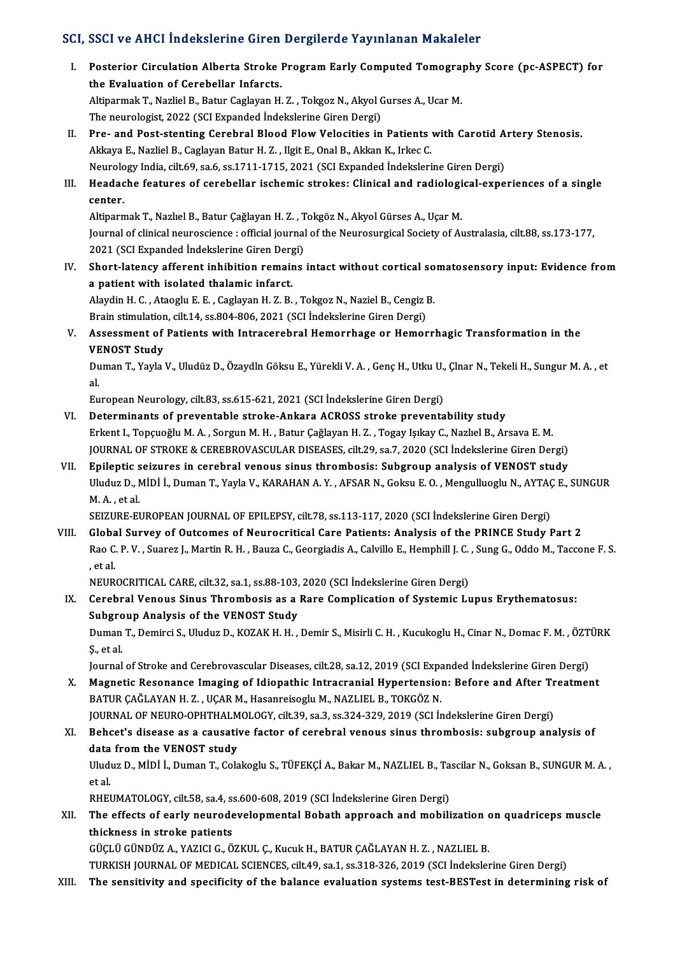#### SCI, SSCI ve AHCI İndekslerine Giren Dergilerde Yayınlanan Makaleler

CI, SSCI ve AHCI İndekslerine Giren Dergilerde Yayınlanan Makaleler<br>I. Posterior Circulation Alberta Stroke Program Early Computed Tomography Score (pc-ASPECT) for<br>the Evaluation of Carabellar Inforeta Posterior Circulation Alberta Stroke I<br>The Evaluation of Cerebellar Infarcts.<br>Altinarmak T. Naglial P. Patur Caglavan H. Posterior Circulation Alberta Stroke Program Early Computed Tomogra<br>the Evaluation of Cerebellar Infarcts.<br>Altiparmak T., Nazliel B., Batur Caglayan H. Z. , Tokgoz N., Akyol Gurses A., Ucar M.<br>The neuvelogist 2022 (SCL Exp the Evaluation of Cerebellar Infarcts.<br>Altiparmak T., Nazliel B., Batur Caglayan H. Z. , Tokgoz N., Akyol Gurses A., Ucar M.<br>The neurologist, 2022 (SCI Expanded İndekslerine Giren Dergi) Altiparmak T., Nazliel B., Batur Caglayan H. Z. , Tokgoz N., Akyol Gurses A., Ucar M.<br>The neurologist, 2022 (SCI Expanded Indekslerine Giren Dergi)<br>II. Pre- and Post-stenting Cerebral Blood Flow Velocities in Patients with The neurologist, 2022 (SCI Expanded İndekslerine Giren Dergi)<br>Pre- and Post-stenting Cerebral Blood Flow Velocities in Patients<br>Akkaya E., Nazliel B., Caglayan Batur H. Z. , Ilgit E., Onal B., Akkan K., Irkec C.<br>Naurolagy Pre- and Post-stenting Cerebral Blood Flow Velocities in Patients with Carotid A<br>Akkaya E., Nazliel B., Caglayan Batur H. Z. , Ilgit E., Onal B., Akkan K., Irkec C.<br>Neurology India, cilt.69, sa.6, ss.1711-1715, 2021 (SCI E Akkaya E., Nazliel B., Caglayan Batur H. Z. , Ilgit E., Onal B., Akkan K., Irkec C.<br>Neurology India, cilt.69, sa.6, ss.1711-1715, 2021 (SCI Expanded Indekslerine Giren Dergi)<br>III. Headache features of cerebellar ischemic s Neurolo<br>Headac<br>center. Headache features of cerebellar ischemic strokes: Clinical and radiologi<br>center.<br>Altiparmak T., Nazlıel B., Batur Çağlayan H. Z. , Tokgöz N., Akyol Gürses A., Uçar M.<br>Journal of clinical neurossianse : official journal of Journal of clinical neuroscience : official journal of the Neurosurgical Society of Australasia, cilt.88, ss.173-177,<br>2021 (SCI Expanded İndekslerine Giren Dergi) Altiparmak T., Nazlıel B., Batur Çağlayan H. Z. , T<br>Journal of clinical neuroscience : official journal<br>2021 (SCI Expanded İndekslerine Giren Dergi)<br>Shart latangy offenant inhibition namaine Iournal of clinical neuroscience : official journal of the Neurosurgical Society of Australasia, cilt.88, ss.173-177,<br>2021 (SCI Expanded Indekslerine Giren Dergi)<br>IV. Short-latency afferent inhibition remains intact withou 2021 (SCI Expanded Indekslerine Giren Derg<br>Short-latency afferent inhibition remain<br>a patient with isolated thalamic infarct.<br>Alaydin H.C. Atasshu E.E. Cashyan H.Z. B. Short-latency afferent inhibition remains intact without cortical so<br>a patient with isolated thalamic infarct.<br>Alaydin H. C. , Ataoglu E. E. , Caglayan H. Z. B. , Tokgoz N., Naziel B., Cengiz B.<br>Prain stimulation, silt 14, a patient with isolated thalamic infarct.<br>Alaydin H. C. , Ataoglu E. E. , Caglayan H. Z. B. , Tokgoz N., Naziel B., Cengiz I<br>Brain stimulation, cilt.14, ss.804-806, 2021 (SCI İndekslerine Giren Dergi)<br>Assessment of Patient Alaydin H. C. , Ataoglu E. E. , Caglayan H. Z. B. , Tokgoz N., Naziel B., Cengiz B.<br>Brain stimulation, cilt.14, ss.804-806, 2021 (SCI İndekslerine Giren Dergi)<br>V. Assessment of Patients with Intracerebral Hemorrhage or Hem Brain stimulation<br>Assessment of<br>VENOST Study<br>Duman T. Yoylo Assessment of Patients with Intracerebral Hemorrhage or Hemorrhagic Transformation in the<br>VENOST Study<br>Duman T., Yayla V., Uludüz D., Özaydln Göksu E., Yürekli V. A. , Genç H., Utku U., Çlnar N., Tekeli H., Sungur M. A. , VE<br>Du<br>al. Duman T., Yayla V., Uludüz D., Özaydln Göksu E., Yürekli V. A. , Genç H., Utku U.,<br>al.<br>European Neurology, cilt.83, ss.615-621, 2021 (SCI İndekslerine Giren Dergi)<br>Determinanta of preuentable streks. Ankara ACPOSS streka p al.<br>European Neurology, cilt.83, ss.615-621, 2021 (SCI İndekslerine Giren Dergi)<br>VI. Determinants of preventable stroke-Ankara ACROSS stroke preventability study Erkent I., Topçuoğlu M.A., Sorgun M.H., Batur Çağlayan H.Z., Togay Işıkay C., Nazlıel B., Arsava E.M. JOURNAL OF STROKE & CEREBROVASCULAR DISEASES, cilt.29, sa.7, 2020 (SCI İndekslerine Giren Dergi) Erkent I., Topçuoğlu M. A. , Sorgun M. H. , Batur Çağlayan H. Z. , Togay Işıkay C., Nazlıel B., Arsava E. M.<br>JOURNAL OF STROKE & CEREBROVASCULAR DISEASES, cilt.29, sa.7, 2020 (SCI İndekslerine Giren Dergi)<br>VII. Epileptic s JOURNAL OF STROKE & CEREBROVASCULAR DISEASES, cilt.29, sa.7, 2020 (SCI İndekslerine Giren Dergi)<br><mark>Epileptic seizures in cerebral venous sinus thrombosis: Subgroup analysis of VENOST study</mark><br>Uluduz D., MİDİ İ., Duman T., Yay Epileptic<br>Uluduz D., M.<br>A. , et al.<br>SEIZUDE EI Uluduz D., MİDİ İ., Duman T., Yayla V., KARAHAN A. Y. , AFSAR N., Goksu E. O. , Mengulluoglu N., AYTAÇ<br>M. A. , et al.<br>SEIZURE-EUROPEAN JOURNAL OF EPILEPSY, cilt.78, ss.113-117, 2020 (SCI İndekslerine Giren Dergi)<br>Clabel Su M. A., et al.<br>SEIZURE-EUROPEAN JOURNAL OF EPILEPSY, cilt.78, ss.113-117, 2020 (SCI Indekslerine Giren Dergi)<br>VIII. Global Survey of Outcomes of Neurocritical Care Patients: Analysis of the PRINCE Study Part 2 SEIZURE-EUROPEAN JOURNAL OF EPILEPSY, cilt.78, ss.113-117, 2020 (SCI İndekslerine Giren Dergi)<br>Global Survey of Outcomes of Neurocritical Care Patients: Analysis of the PRINCE Study Part 2<br>Rao C. P. V. , Suarez J., Martin Globa<br>Rao C<br>, et al.<br>NEUP Rao C. P. V. , Suarez J., Martin R. H. , Bauza C., Georgiadis A., Calvillo E., Hemphill J. C.<br>, et al.<br>NEUROCRITICAL CARE, cilt.32, sa.1, ss.88-103, 2020 (SCI İndekslerine Giren Dergi)<br>Carabral Vanaus Sinus Thrambasis as a , et al.<br>IX. Cerebral Venous Care, cilt.32, sa.1, ss.88-103, 2020 (SCI Indekslerine Giren Dergi)<br>IX. Cerebral Venous Sinus Thrombosis as a Rare Complication of Systemic Lupus Erythematosus:<br>Subsreup Apolysis of the VENOST NEUROCRITICAL CARE, cilt.32, sa.1, ss.88-103,<br>Cerebral Venous Sinus Thrombosis as a<br>Subgroup Analysis of the VENOST Study<br>Duman T. Demirci S. Uludus D. KOZAK H. H Cerebral Venous Sinus Thrombosis as a Rare Complication of Systemic Lupus Erythematosus:<br>Subgroup Analysis of the VENOST Study<br>Duman T., Demirci S., Uluduz D., KOZAK H. H. , Demir S., Misirli C. H. , Kucukoglu H., Cinar N. Subgroup Analysis of the VENOST Study<br>Duman T., Demirci S., Uluduz D., KOZAK H. H. , Demir S., Misirli C. H. , Kucukoglu H., Cinar N., Domac F. M. , ÖZT<br>Ş., et al.<br>Journal of Stroke and Cerebrovascular Diseases, cilt.28, s Duman T., Demirci S., Uluduz D., KOZAK H. H., Demir S., Misirli C. H., Kucukoglu H., Cinar N., Domac F. M., ÖZTÜRK X. Magnetic Resonance Imaging of Idiopathic Intracranial Hypertension: Before and After Treatment BATUR ÇAĞLAYAN H.Z., UÇAR M., Hasanreisoglu M., NAZLIEL B., TOKGÖZ N. Magnetic Resonance Imaging of Idiopathic Intracranial Hypertension: Before and After Tr<br>BATUR ÇAĞLAYAN H. Z. , UÇAR M., Hasanreisoglu M., NAZLIEL B., TOKGÖZ N.<br>JOURNAL OF NEURO-OPHTHALMOLOGY, cilt.39, sa.3, ss.324-329, 201 BATUR ÇAĞLAYAN H. Z. , UÇAR M., Hasanreisoglu M., NAZLIEL B., TOKGÖZ N.<br>JOURNAL OF NEURO-OPHTHALMOLOGY, cilt.39, sa.3, ss.324-329, 2019 (SCI İndekslerine Giren Dergi)<br>XI. Behcet's disease as a causative factor of cerebral JOURNAL OF NEURO-OPHTHALM<br>Behcet's disease as a causative<br>data from the VENOST study<br>Undur D. Mini L. Duman T. Cola Behcet's disease as a causative factor of cerebral venous sinus thrombosis: subgroup analysis of<br>data from the VENOST study<br>Uluduz D., MİDİ İ., Duman T., Colakoglu S., TÜFEKÇİ A., Bakar M., NAZLIEL B., Tascilar N., Goksan d<mark>ata</mark><br>Uludi<br>et al.<br>puer Uluduz D., MİDİ İ., Duman T., Colakoglu S., TÜFEKÇİ A., Bakar M., NAZLIEL B., Ta<br>et al.<br>RHEUMATOLOGY, cilt.58, sa.4, ss.600-608, 2019 (SCI İndekslerine Giren Dergi)<br>The effects of early neuvedevelenmental Behath annreash a et al.<br>RHEUMATOLOGY, cilt.58, sa.4, ss.600-608, 2019 (SCI İndekslerine Giren Dergi)<br>XII. The effects of early neurodevelopmental Bobath approach and mobilization on quadriceps muscle<br>thickness in stroke patients RHEUMATOLOGY, cilt.58, sa.4, ss.600-608, 2019 (SCI Indekslerine Giren Dergi)

GÜÇLÜGÜNDÜZA.,YAZICIG.,ÖZKUL Ç.,KucukH.,BATURÇAĞLAYANH.Z. ,NAZLIELB.

TURKISH JOURNAL OF MEDICAL SCIENCES, cilt.49, sa.1, ss.318-326, 2019 (SCI İndekslerine Giren Dergi)

XIII. The sensitivity and specificity of the balance evaluation systems test-BESTest in determining risk of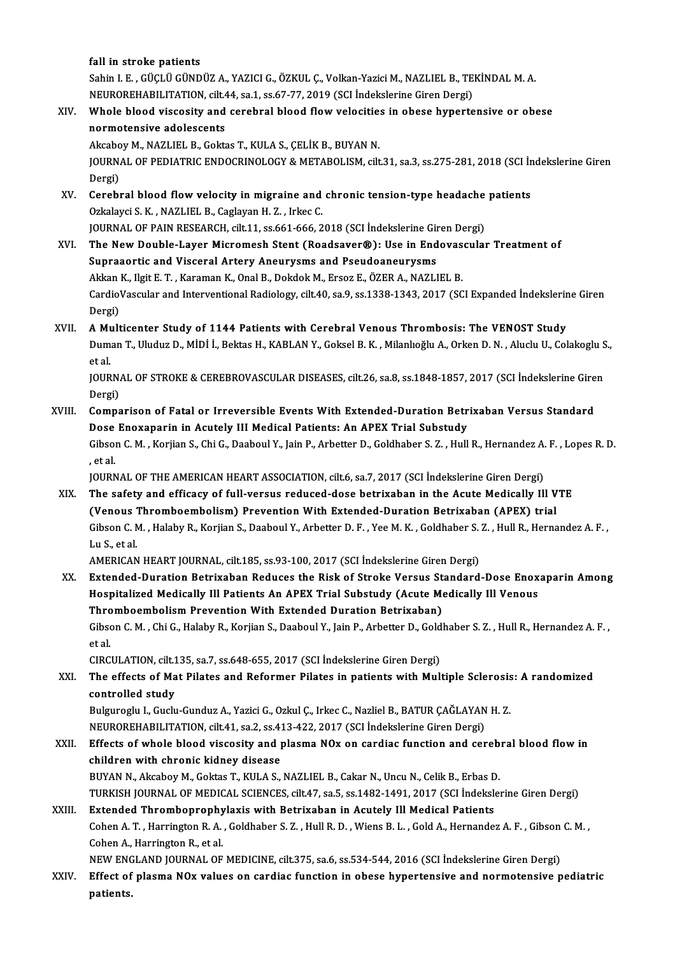fall in stroke patients fall in stroke patients<br>Sahin I. E. , GÜÇLÜ GÜNDÜZ A., YAZICI G., ÖZKUL Ç., Volkan-Yazici M., NAZLIEL B., TEKİNDAL M. A.<br>NEUPOPEHARU ITATION, silt 44, sa 1, sa 67, 77, 2019 (SCL İndekslerine Ciren Dergi) fall in stroke patients<br>Sahin I. E. , GÜÇLÜ GÜNDÜZ A., YAZICI G., ÖZKUL Ç., Volkan-Yazici M., NAZLIEL B., TE<br>NEUROREHABILITATION, cilt.44, sa.1, ss.67-77, 2019 (SCI İndekslerine Giren Dergi)<br>Whole bleed wissesity and sereb Sahin I. E. , GÜÇLÜ GÜNDÜZ A., YAZICI G., ÖZKUL Ç., Volkan-Yazici M., NAZLIEL B., TEKİNDAL M. A.<br>NEUROREHABILITATION, cilt.44, sa.1, ss.67-77, 2019 (SCI İndekslerine Giren Dergi)<br>XIV. Whole blood viscosity and cerebral NEUROREHABILITATION, cilt.4<br>Whole blood viscosity and<br>normotensive adolescents<br>Akoboy M. NAZUEL B. Cokt Whole blood viscosity and cerebral blood flow velocitie:<br>normotensive adolescents<br>Akcaboy M., NAZLIEL B., Goktas T., KULA S., ÇELİK B., BUYAN N.<br>JOUPNAL OF PEDIATRIC ENDOCRINOLOCY & METAROLISM cilt normotensive adolescents<br>Akcaboy M., NAZLIEL B., Goktas T., KULA S., ÇELİK B., BUYAN N.<br>JOURNAL OF PEDIATRIC ENDOCRINOLOGY & METABOLISM, cilt.31, sa.3, ss.275-281, 2018 (SCI İndekslerine Giren Akcabo<br>JOURN<br>Dergi)<br>Cereb JOURNAL OF PEDIATRIC ENDOCRINOLOGY & METABOLISM, cilt.31, sa.3, ss.275-281, 2018 (SCI In<br>Dergi)<br>XV. Cerebral blood flow velocity in migraine and chronic tension-type headache patients<br>Orkelaysi S. K. NAZI IEL B. Corlayer H Dergi)<br>Cerebral blood flow velocity in migraine and<br>Ozkalayci S. K. , NAZLIEL B., Caglayan H. Z. , Irkec C.<br>JOUPMAL OF RAIN PESEARCH, sit 11, ss 661, 666, 2 Cerebral blood flow velocity in migraine and chronic tension-type headache<br>Ozkalayci S. K. , NAZLIEL B., Caglayan H. Z. , Irkec C.<br>JOURNAL OF PAIN RESEARCH, cilt.11, ss.661-666, 2018 (SCI İndekslerine Giren Dergi)<br>The New Ozkalayci S. K. , NAZLIEL B., Caglayan H. Z. , Irkec C.<br>JOURNAL OF PAIN RESEARCH, cilt.11, ss.661-666, 2018 (SCI İndekslerine Giren Dergi)<br>XVI. The New Double-Layer Micromesh Stent (Roadsaver®): Use in Endovascular Treatme JOURNAL OF PAIN RESEARCH, cilt 11, ss.661-666, 2018 (SCI İndekslerine Giren Dergi) The New Double-Layer Micromesh Stent (Roadsaver®): Use in Endovas<br>Supraaortic and Visceral Artery Aneurysms and Pseudoaneurysms<br>Akkan K., Ilgit E. T. , Karaman K., Onal B., Dokdok M., Ersoz E., ÖZER A., NAZLIEL B.<br>CardiaVa CardioVascular and Interventional Radiology, cilt.40, sa.9, ss.1338-1343, 2017 (SCI Expanded İndekslerine Giren<br>Dergi) Akkan<br>Cardio<br>Dergi)<br>A Mult CardioVascular and Interventional Radiology, cilt.40, sa.9, ss.1338-1343, 2017 (SCI Expanded Indekslerir<br>Dergi)<br>XVII. A Multicenter Study of 1144 Patients with Cerebral Venous Thrombosis: The VENOST Study<br>Dumar T. Hludus D Duman T., Uluduz D., MİDİ İ., Bektas H., KABLAN Y., Goksel B. K. , Milanlıoğlu A., Orken D. N. , Aluclu U., Colakoglu S.,<br>et al. **A Mu<br>Dum**<br>et al.<br>IOUP Duman T., Uluduz D., MİDİ İ., Bektas H., KABLAN Y., Goksel B. K. , Milanlıoğlu A., Orken D. N. , Aluclu U., Colakoglu S<br>et al.<br>JOURNAL OF STROKE & CEREBROVASCULAR DISEASES, cilt.26, sa.8, ss.1848-1857, 2017 (SCI İndeksleri et al.<br>JOURN<br>Dergi)<br>Comna JOURNAL OF STROKE & CEREBROVASCULAR DISEASES, cilt.26, sa.8, ss.1848-1857, 2017 (SCI İndekslerine Gire<br>Dergi)<br>XVIII. Comparison of Fatal or Irreversible Events With Extended-Duration Betrixaban Versus Standard<br>Dese Enexane Dergi)<br>Comparison of Fatal or Irreversible Events With Extended-Duration Betr<br>Dose Enoxaparin in Acutely III Medical Patients: An APEX Trial Substudy<br>Cibson C.M., Korijan S. Chi C. Daaboul V. Jain B. Arbetter D. Coldbabor Comparison of Fatal or Irreversible Events With Extended-Duration Betrixaban Versus Standard<br>Dose Enoxaparin in Acutely III Medical Patients: An APEX Trial Substudy<br>Gibson C. M. , Korjian S., Chi G., Daaboul Y., Jain P., A Dose<br>Gibsol<br>, et al.<br>IOUP Gibson C. M. , Korjian S., Chi G., Daaboul Y., Jain P., Arbetter D., Goldhaber S. Z. , Hull R., Hernandez A.<br>, et al.<br>JOURNAL OF THE AMERICAN HEART ASSOCIATION, cilt.6, sa.7, 2017 (SCI İndekslerine Giren Dergi)<br>The safety et al.<br>JOURNAL OF THE AMERICAN HEART ASSOCIATION, cilt.6, sa.7, 2017 (SCI İndekslerine Giren Dergi)<br>XIX. The safety and efficacy of full-versus reduced-dose betrixaban in the Acute Medically Ill VTE<br>(Veneus Thrembeembe JOURNAL OF THE AMERICAN HEART ASSOCIATION, cilt.6, sa.7, 2017 (SCI Indekslerine Giren Dergi)<br>The safety and efficacy of full-versus reduced-dose betrixaban in the Acute Medically Ill V<br>(Venous Thromboembolism) Prevention W The safety and efficacy of full-versus reduced-dose betrixaban in the Acute Medically Ill VTE<br>(Venous Thromboembolism) Prevention With Extended-Duration Betrixaban (APEX) trial<br>Gibson C. M. , Halaby R., Korjian S., Daaboul (Venous<br>Gibson C. N<br>Lu S., et al.<br>AMERICAN Gibson C. M. , Halaby R., Korjian S., Daaboul Y., Arbetter D. F. , Yee M. K. , Goldhaber S.<br>Lu S., et al.<br>AMERICAN HEART JOURNAL, cilt.185, ss.93-100, 2017 (SCI İndekslerine Giren Dergi)<br>Eytandad Duyatian Batriyaban Badyas Lu S., et al.<br>AMERICAN HEART JOURNAL, cilt.185, ss.93-100, 2017 (SCI İndekslerine Giren Dergi)<br>XX. Extended-Duration Betrixaban Reduces the Risk of Stroke Versus Standard-Dose Enoxaparin Among AMERICAN HEART JOURNAL, cilt.185, ss.93-100, 2017 (SCI İndekslerine Giren Dergi)<br>Extended-Duration Betrixaban Reduces the Risk of Stroke Versus Standard-Dose Enox<br>Hospitalized Medically Ill Patients An APEX Trial Substudy Extended-Duration Betrixaban Reduces the Risk of Stroke Versus St<br>Hospitalized Medically Ill Patients An APEX Trial Substudy (Acute Me<br>Thromboembolism Prevention With Extended Duration Betrixaban)<br>Sibsen C.M. Chi C. Halaby Hospitalized Medically Ill Patients An APEX Trial Substudy (Acute Medically Ill Venous<br>Thromboembolism Prevention With Extended Duration Betrixaban)<br>Gibson C. M. , Chi G., Halaby R., Korjian S., Daaboul Y., Jain P., Arbett Thro<br>Gibso<br>et al.<br>CIPC Gibson C. M. , Chi G., Halaby R., Korjian S., Daaboul Y., Jain P., Arbetter D., Gold<br>et al.<br>CIRCULATION, cilt.135, sa.7, ss.648-655, 2017 (SCI İndekslerine Giren Dergi)<br>The effects of Mat Bilates and Beformer Bilates in pa et al.<br>CIRCULATION, cilt.135, sa.7, ss.648-655, 2017 (SCI İndekslerine Giren Dergi)<br>XXI. The effects of Mat Pilates and Reformer Pilates in patients with Multiple Sclerosis: A randomized<br>controlled study CIRCULATION, cilt.1<br>The effects of Ma<br>controlled study<br>Bulguresh L. Cush The effects of Mat Pilates and Reformer Pilates in patients with Multiple Sclerosis<br>controlled study<br>Bulguroglu I., Guclu-Gunduz A., Yazici G., Ozkul Ç., Irkec C., Nazliel B., BATUR ÇAĞLAYAN H. Z.<br>NEUPOREHARILITATION cilt controlled study<br>Bulguroglu I., Guclu-Gunduz A., Yazici G., Ozkul Ç., Irkec C., Nazliel B., BATUR ÇAĞLAYAN<br>NEUROREHABILITATION, cilt.41, sa.2, ss.413-422, 2017 (SCI İndekslerine Giren Dergi)<br>Effects of urbala blaad uissesi Bulguroglu I., Guclu-Gunduz A., Yazici G., Ozkul Ç., Irkec C., Nazliel B., BATUR ÇAĞLAYAN H. Z.<br>NEUROREHABILITATION, cilt.41, sa.2, ss.413-422, 2017 (SCI İndekslerine Giren Dergi)<br>XXII. Effects of whole blood viscosity and NEUROREHABILITATION, cilt.41, sa.2, ss.4.<br>Effects of whole blood viscosity and positional position with chronic kidney disease Effects of whole blood viscosity and plasma NOx on cardiac function and cereb<br>children with chronic kidney disease<br>BUYAN N., Akcaboy M., Goktas T., KULA S., NAZLIEL B., Cakar N., Uncu N., Celik B., Erbas D.<br>TURKISH JOURNAL children with chronic kidney disease<br>BUYAN N., Akcaboy M., Goktas T., KULA S., NAZLIEL B., Cakar N., Uncu N., Celik B., Erbas D.<br>TURKISH JOURNAL OF MEDICAL SCIENCES, cilt.47, sa.5, ss.1482-1491, 2017 (SCI İndekslerine Gire XXIII. Extended Thromboprophylaxis with Betrixaban in Acutely Ill Medical Patients TURKISH JOURNAL OF MEDICAL SCIENCES, cilt.47, sa.5, ss.1482-1491, 2017 (SCI İndekslerine Giren Dergi)<br>Extended Thromboprophylaxis with Betrixaban in Acutely III Medical Patients<br>Cohen A. T. , Harrington R. A. , Goldhaber S Extended Thromboprophy<br>Cohen A. T. , Harrington R. A.<br>Cohen A., Harrington R., et al.<br>NEW ENCLAND JOUPNAL OF Cohen A. T. , Harrington R. A. , Goldhaber S. Z. , Hull R. D. , Wiens B. L. , Gold A., Hernandez A. F. , Gibson<br>Cohen A., Harrington R., et al.<br>NEW ENGLAND JOURNAL OF MEDICINE, cilt.375, sa.6, ss.534-544, 2016 (SCI İndeksl Cohen A., Harrington R., et al.<br>NEW ENGLAND JOURNAL OF MEDICINE, cilt.375, sa.6, ss.534-544, 2016 (SCI İndekslerine Giren Dergi)<br>XXIV. Effect of plasma NOx values on cardiac function in obese hypertensive and normotensive

NEW ENG<br><mark>Effect of</mark><br>patients.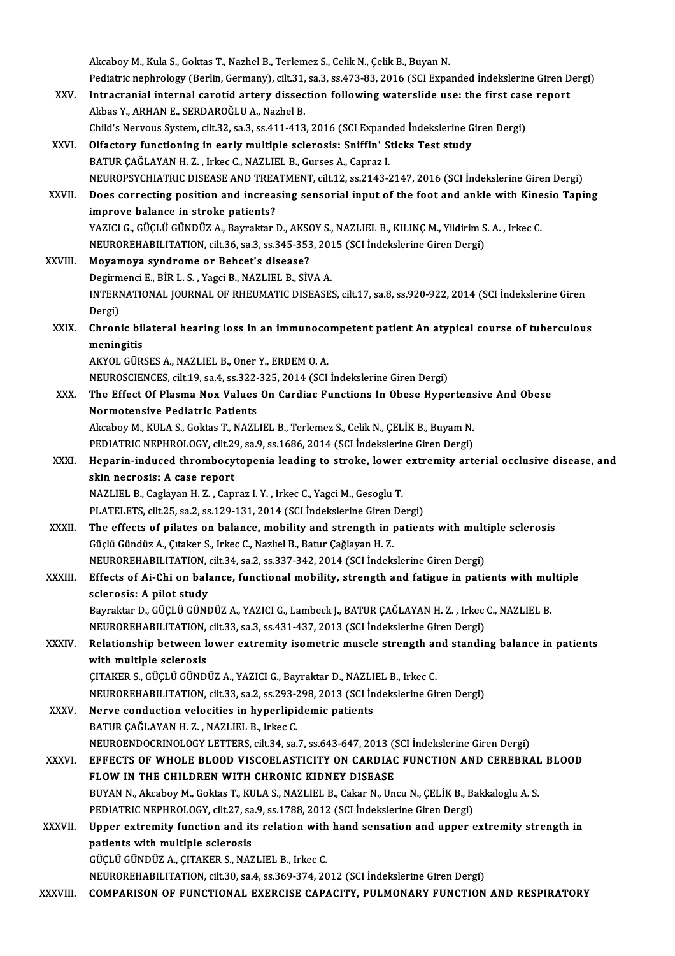|               | Akcaboy M., Kula S., Goktas T., Nazhel B., Terlemez S., Celik N., Çelik B., Buyan N.                                       |
|---------------|----------------------------------------------------------------------------------------------------------------------------|
|               | Pediatric nephrology (Berlin, Germany), cilt.31, sa.3, ss.473-83, 2016 (SCI Expanded İndekslerine Giren Dergi)             |
| XXV.          | Intracranial internal carotid artery dissection following waterslide use: the first case report                            |
|               | Akbas Y., ARHAN E., SERDAROĞLU A., Nazhel B.                                                                               |
|               | Child's Nervous System, cilt.32, sa.3, ss.411-413, 2016 (SCI Expanded İndekslerine Giren Dergi)                            |
| XXVI.         | Olfactory functioning in early multiple sclerosis: Sniffin' Sticks Test study                                              |
|               | BATUR ÇAĞLAYAN H. Z., Irkec C., NAZLIEL B., Gurses A., Capraz I.                                                           |
|               | NEUROPSYCHIATRIC DISEASE AND TREATMENT, cilt.12, ss.2143-2147, 2016 (SCI İndekslerine Giren Dergi)                         |
| XXVII.        | Does correcting position and increasing sensorial input of the foot and ankle with Kinesio Taping                          |
|               | improve balance in stroke patients?                                                                                        |
|               | YAZICI G., GÜÇLÜ GÜNDÜZ A., Bayraktar D., AKSOY S., NAZLIEL B., KILINÇ M., Yildirim S. A., Irkec C.                        |
|               | NEUROREHABILITATION, cilt.36, sa.3, ss.345-353, 2015 (SCI İndekslerine Giren Dergi)                                        |
| XXVIII.       | Moyamoya syndrome or Behcet's disease?                                                                                     |
|               | Degirmenci E., BİR L. S., Yagci B., NAZLIEL B., SİVA A.                                                                    |
|               | INTERNATIONAL JOURNAL OF RHEUMATIC DISEASES, cilt.17, sa.8, ss.920-922, 2014 (SCI Indekslerine Giren                       |
|               | Dergi)                                                                                                                     |
| XXIX.         | Chronic bilateral hearing loss in an immunocompetent patient An atypical course of tuberculous                             |
|               | meningitis                                                                                                                 |
|               | AKYOL GÜRSES A., NAZLIEL B., Oner Y., ERDEM O. A.                                                                          |
|               | NEUROSCIENCES, cilt.19, sa.4, ss.322-325, 2014 (SCI Indekslerine Giren Dergi)                                              |
| XXX.          | The Effect Of Plasma Nox Values On Cardiac Functions In Obese Hypertensive And Obese                                       |
|               | <b>Normotensive Pediatric Patients</b>                                                                                     |
|               | Akcaboy M., KULA S., Goktas T., NAZLIEL B., Terlemez S., Celik N., ÇELİK B., Buyam N.                                      |
|               | PEDIATRIC NEPHROLOGY, cilt.29, sa.9, ss.1686, 2014 (SCI Indekslerine Giren Dergi)                                          |
| XXXI.         | Heparin-induced thrombocytopenia leading to stroke, lower extremity arterial occlusive disease, and                        |
|               | skin necrosis: A case report                                                                                               |
|               | NAZLIEL B., Caglayan H. Z., Capraz I. Y., Irkec C., Yagci M., Gesoglu T.                                                   |
|               | PLATELETS, cilt.25, sa.2, ss.129-131, 2014 (SCI Indekslerine Giren Dergi)                                                  |
| <b>XXXII.</b> | The effects of pilates on balance, mobility and strength in patients with multiple sclerosis                               |
|               | Güçlü Gündüz A., Çıtaker S., Irkec C., Nazlıel B., Batur Çağlayan H. Z.                                                    |
|               | NEUROREHABILITATION, cilt.34, sa.2, ss.337-342, 2014 (SCI Indekslerine Giren Dergi)                                        |
| <b>XXXIII</b> | Effects of Ai-Chi on balance, functional mobility, strength and fatigue in patients with multiple                          |
|               | sclerosis: A pilot study                                                                                                   |
|               | Bayraktar D., GÜÇLÜ GÜNDÜZ A., YAZICI G., Lambeck J., BATUR ÇAĞLAYAN H. Z., Irkec C., NAZLIEL B.                           |
|               | NEUROREHABILITATION, cilt.33, sa.3, ss.431-437, 2013 (SCI Indekslerine Giren Dergi)                                        |
| XXXIV.        | Relationship between lower extremity isometric muscle strength and standing balance in patients<br>with multiple sclerosis |
|               | ÇITAKER S., GÜÇLÜ GÜNDÜZ A., YAZICI G., Bayraktar D., NAZLIEL B., Irkec C.                                                 |
|               | NEUROREHABILITATION, cilt.33, sa.2, ss.293-298, 2013 (SCI Indekslerine Giren Dergi)                                        |
| XXXV.         | Nerve conduction velocities in hyperlipidemic patients                                                                     |
|               | BATUR ÇAĞLAYAN H.Z., NAZLIEL B., Irkec C.                                                                                  |
|               | NEUROENDOCRINOLOGY LETTERS, cilt.34, sa.7, ss.643-647, 2013 (SCI İndekslerine Giren Dergi)                                 |
| <b>XXXVI</b>  | EFFECTS OF WHOLE BLOOD VISCOELASTICITY ON CARDIAC FUNCTION AND CEREBRAL BLOOD                                              |
|               | FLOW IN THE CHILDREN WITH CHRONIC KIDNEY DISEASE                                                                           |
|               | BUYAN N., Akcaboy M., Goktas T., KULA S., NAZLIEL B., Cakar N., Uncu N., CELIK B., Bakkaloglu A. S.                        |
|               | PEDIATRIC NEPHROLOGY, cilt.27, sa.9, ss.1788, 2012 (SCI Indekslerine Giren Dergi)                                          |
| XXXVII.       | Upper extremity function and its relation with hand sensation and upper extremity strength in                              |
|               | patients with multiple sclerosis                                                                                           |
|               | GÜÇLÜ GÜNDÜZ A., ÇITAKER S., NAZLIEL B., Irkec C.                                                                          |
|               | NEUROREHABILITATION, cilt.30, sa.4, ss.369-374, 2012 (SCI Indekslerine Giren Dergi)                                        |
| XXXVIII.      | COMPARISON OF FUNCTIONAL EXERCISE CAPACITY, PULMONARY FUNCTION AND RESPIRATORY                                             |
|               |                                                                                                                            |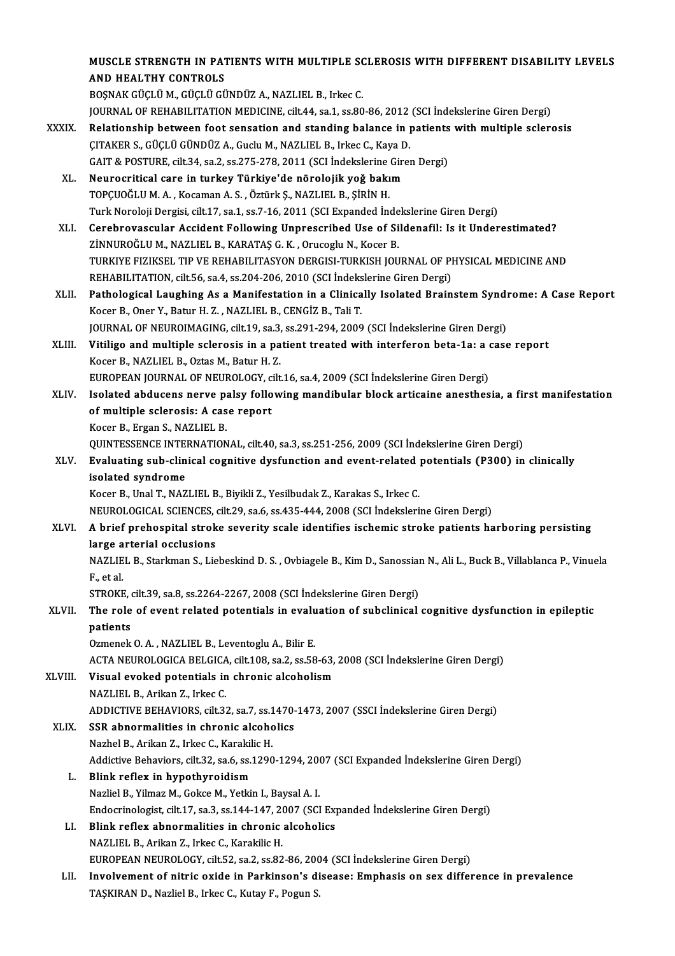MUSCLE STRENGTH IN PATIENTS WITH MULTIPLE SCLEROSIS WITH DIFFERENT DISABILITY LEVELS AND HEALTHY CONTROLS

BOSNAK GÜÇLÜ M., GÜÇLÜ GÜNDÜZ A., NAZLIEL B., Irkec C. JOURNAL OF REHABILITATION MEDICINE, cilt.44, sa.1, ss.80-86, 2012 (SCI İndekslerine Giren Dergi) BOŞNAK GÜÇLÜ M., GÜÇLÜ GÜNDÜZ A., NAZLIEL B., Irkec C.<br>JOURNAL OF REHABILITATION MEDICINE, cilt.44, sa.1, ss.80-86, 2012 (SCI İndekslerine Giren Dergi)<br>XXXIX. Relationship between foot sensation and standing balance in

- JOURNAL OF REHABILITATION MEDICINE, cilt.44, sa.1, ss.80-86, 2012<br>Relationship between foot sensation and standing balance in J<br>ÇITAKER S., GÜÇLÜ GÜNDÜZ A., Guclu M., NAZLIEL B., Irkec C., Kaya D.<br>CAIT & POSTUPE, silt 34, Relationship between foot sensation and standing balance in patients<br>CITAKER S., GÜÇLÜ GÜNDÜZ A., Guclu M., NAZLIEL B., Irkec C., Kaya D.<br>GAIT & POSTURE, cilt.34, sa.2, ss.275-278, 2011 (SCI İndekslerine Giren Dergi)<br>Neuro CITAKER S., GÜÇLÜ GÜNDÜZ A., Guclu M., NAZLIEL B., Irkec C., Kaya D.<br>GAIT & POSTURE, cilt.34, sa.2, ss.275-278, 2011 (SCI İndekslerine Gire<br>XL. Neurocritical care in turkey Türkiye'de nörolojik yoğ bakım<br>TOPCUQČLUM A. Kosa
	- GAIT & POSTURE, cilt.34, sa.2, ss.275-278, 2011 (SCI İndekslerine Giren Dergi)<br>Neurocritical care in turkey Türkiye'de nörolojik yoğ bakım<br>TOPCUOĞLU M. A. , Kocaman A. S. , Öztürk S., NAZLIEL B., SİRİN H. Neurocritical care in turkey Türkiye'de nörolojik yoğ bakım<br>TOPÇUOĞLU M. A. , Kocaman A. S. , Öztürk Ş., NAZLIEL B., ŞİRİN H.<br>Turk Noroloji Dergisi, cilt.17, sa.1, ss.7-16, 2011 (SCI Expanded İndekslerine Giren Dergi)<br>Cara TOPÇUOĞLU M. A. , Kocaman A. S. , Öztürk Ş., NAZLIEL B., ŞİRİN H.<br>Turk Noroloji Dergisi, cilt.17, sa.1, ss.7-16, 2011 (SCI Expanded İndekslerine Giren Dergi)<br>XLI. Cerebrovascular Accident Following Unprescribed Use of
	- Turk Noroloji Dergisi, cilt.17, sa.1, ss.7-16, 2011 (SCI Expanded Inde<br>Cerebrovascular Accident Following Unprescribed Use of Si<br>ZİNNUROĞLU M., NAZLIEL B., KARATAŞ G. K. , Orucoglu N., Kocer B.<br>TURKIYE FIZIKSEL TIR VE REHA Cerebrovascular Accident Following Unprescribed Use of Sildenafil: Is it Underestimated?<br>ZİNNUROĞLU M., NAZLIEL B., KARATAŞ G. K. , Orucoglu N., Kocer B.<br>TURKIYE FIZIKSEL TIP VE REHABILITASYON DERGISI-TURKISH JOURNAL OF PH ZİNNUROĞLU M., NAZLIEL B., KARATAŞ G. K. , Orucoglu N., Kocer B.<br>TURKIYE FIZIKSEL TIP VE REHABILITASYON DERGISI-TURKISH JOURNAL OF PI<br>REHABILITATION, cilt.56, sa.4, ss.204-206, 2010 (SCI İndekslerine Giren Dergi)<br>Pathologi TURKIYE FIZIKSEL TIP VE REHABILITASYON DERGISI-TURKISH JOURNAL OF PHYSICAL MEDICINE AND<br>REHABILITATION, cilt.56, sa.4, ss.204-206, 2010 (SCI indekslerine Giren Dergi)<br>XLII. Pathological Laughing As a Manifestation in a Cli
	- REHABILITATION, cilt.56, sa.4, ss.204-206, 2010 (SCI İndeks<br>Pathological Laughing As a Manifestation in a Clinica<br>Kocer B., Oner Y., Batur H. Z. , NAZLIEL B., CENGİZ B., Tali T.<br>JOUPNAL OF NEUROJMACING silt 19, ss.2, ss.29 Pathological Laughing As a Manifestation in a Clinically Isolated Brainstem Syndi<br>Kocer B., Oner Y., Batur H. Z. , NAZLIEL B., CENGİZ B., Tali T.<br>JOURNAL OF NEUROIMAGING, cilt.19, sa.3, ss.291-294, 2009 (SCI İndekslerine G JOURNAL OF NEUROIMAGING, cilt.19, sa.3, ss.291-294, 2009 (SCI Indekslerine Giren Dergi)
- Kocer B., Oner Y., Batur H. Z. , NAZLIEL B., CENGİZ B., Tali T.<br>JOURNAL OF NEUROIMAGING, cilt.19, sa.3, ss.291-294, 2009 (SCI İndekslerine Giren Dergi)<br>XLIII. Vitiligo and multiple sclerosis in a patient treated with inter Vitiligo and multiple sclerosis in a patient treated with interferon beta-1a: a d<br>Kocer B., NAZLIEL B., Oztas M., Batur H. Z.<br>EUROPEAN JOURNAL OF NEUROLOGY, cilt.16, sa.4, 2009 (SCI İndekslerine Giren Dergi)<br>Isalated abdus Kocer B., NAZLIEL B., Oztas M., Batur H. Z.<br>EUROPEAN JOURNAL OF NEUROLOGY, cilt.16, sa.4, 2009 (SCI İndekslerine Giren Dergi)<br>XLIV. Isolated abducens nerve palsy following mandibular block articaine anesthesia, a first man
- EUROPEAN JOURNAL OF NEUROLOGY, c<br>Isolated abducens nerve palsy follo<br>of multiple sclerosis: A case report<br>Koser B. Exsan S. NAZI IEL B **Isolated abducens nerve particular**<br>of multiple sclerosis: A cas<br>Kocer B., Ergan S., NAZLIEL B.<br>OUINTESSENCE INTERNATION of multiple sclerosis: A case report<br>Kocer B., Ergan S., NAZLIEL B.<br>QUINTESSENCE INTERNATIONAL, cilt.40, sa.3, ss.251-256, 2009 (SCI İndekslerine Giren Dergi)<br>Fyaluating sub clinical cognitive dyefunction and event related Kocer B., Ergan S., NAZLIEL B.<br>QUINTESSENCE INTERNATIONAL, cilt.40, sa.3, ss.251-256, 2009 (SCI İndekslerine Giren Dergi)<br>XLV. Evaluating sub-clinical cognitive dysfunction and event-related potentials (P300) in clinic
- QUINTESSENCE INTE<br>Evaluating sub-clin<br>isolated syndrome<br>Koser B. Upel T. NAZ Evaluating sub-clinical cognitive dysfunction and event-related<br>isolated syndrome<br>Kocer B., Unal T., NAZLIEL B., Biyikli Z., Yesilbudak Z., Karakas S., Irkec C.<br>NEUPOLOCICAL SCIENCES silt 29, sa 6, sa 425, 444, 2009 (SCL I isolated syndrome<br>Kocer B., Unal T., NAZLIEL B., Biyikli Z., Yesilbudak Z., Karakas S., Irkec C.<br>NEUROLOGICAL SCIENCES, cilt.29, sa.6, ss.435-444, 2008 (SCI İndekslerine Giren Dergi)

### Kocer B., Unal T., NAZLIEL B., Biyikli Z., Yesilbudak Z., Karakas S., Irkec C.<br>NEUROLOGICAL SCIENCES, cilt.29, sa.6, ss.435-444, 2008 (SCI İndekslerine Giren Dergi)<br>XLVI. A brief prehospital stroke severity scale identifie NEUROLOGICAL SCIENCES,<br>A brief prehospital strok<br>large arterial occlusions<br>NAZLIEL B. Starlman S. Lie A brief prehospital stroke severity scale identifies ischemic stroke patients harboring persisting<br>large arterial occlusions<br>NAZLIEL B., Starkman S., Liebeskind D. S. , Ovbiagele B., Kim D., Sanossian N., Ali L., Buck B.,

large arterial occlusions<br>NAZLIEL B., Starkman S., Liebeskind D. S. , Ovbiagele B., Kim D., Sanossian N., Ali L., Buck B., Villablanca P., Vinuela<br>F., et al. NAZLIEL B., Starkman S., Liebeskind D. S. , Ovbiagele B., Kim D., Sanossian<br>F., et al.<br>STROKE, cilt.39, sa.8, ss.2264-2267, 2008 (SCI İndekslerine Giren Dergi)<br>The role of event related potentials in evoluction of subelini

### F., et al.<br>STROKE, cilt.39, sa.8, ss.2264-2267, 2008 (SCI İndekslerine Giren Dergi)<br>XLVII. The role of event related potentials in evaluation of subclinical cognitive dysfunction in epileptic<br>nationts STROKE, of<br>The role<br>patients The role of event related potentials in evalupatients<br>Ozmenek O.A., NAZLIEL B., Leventoglu A., Bilir E.<br>ACTA NEUPOLOGLA PELGCA silt 109.82.2.858 patients<br>Ozmenek O. A. , NAZLIEL B., Leventoglu A., Bilir E.<br>ACTA NEUROLOGICA BELGICA, cilt.108, sa.2, ss.58-63, 2008 (SCI İndekslerine Giren Dergi)

### Ozmenek O. A., NAZLIEL B., Leventoglu A., Bilir E.<br>ACTA NEUROLOGICA BELGICA, cilt.108, sa.2, ss.58-63,<br>XLVIII. Visual evoked potentials in chronic alcoholism ACTA NEUROLOGICA BELGICA<br>Visual evoked potentials in<br>NAZLIEL B., Arikan Z., Irkec C.<br>ADDICTIVE PEHAVIOPS cit 23

NAZLIEL B., Arikan Z., Irkec C.<br>ADDICTIVE BEHAVIORS, cilt.32, sa.7, ss.1470-1473, 2007 (SSCI İndekslerine Giren Dergi)

### XLIX. SSR abnormalities in chronic alcoholics

Nazhel B., Arikan Z., Irkec C., Karakilic H. SSR abnormalities in chronic alcoholics<br>Nazhel B., Arikan Z., Irkec C., Karakilic H.<br>Addictive Behaviors, cilt.32, sa.6, ss.1290-1294, 2007 (SCI Expanded İndekslerine Giren Dergi)<br>Plink reflex in bunetbureidiem

- L. Blink reflex in hypothyroidism<br>Nazliel B., Yilmaz M., Gokce M., Yetkin I., Bavsal A. I. Addictive Behaviors, cilt.32, sa.6, ss.1290-1294, 20<br>Blink reflex in hypothyroidism<br>Nazliel B., Yilmaz M., Gokce M., Yetkin I., Baysal A. I.<br>Endegripologist, silt 17, ss.3, ss.144, 147, 2007, (SCI Blink reflex in hypothyroidism<br>Nazliel B., Yilmaz M., Gokce M., Yetkin I., Baysal A. I.<br>Endocrinologist, cilt.17, sa.3, ss.144-147, 2007 (SCI Expanded İndekslerine Giren Dergi)<br>Blink reflex ehnermelities in shrenis elsebel
- LI. Blink reflex abnormalities in chronic alcoholics Endocrinologist, cilt.17, sa.3, ss.144-147, 20<br>Blink reflex abnormalities in chronic<br>NAZLIEL B., Arikan Z., Irkec C., Karakilic H.<br>EUROPEAN NEUROLOCY, gilt 52, sp.2, sp.92 EUROPEAN NEUROLOGY, cilt.52, sa.2, ss.82-86, 2004 (SCI İndekslerine Giren Dergi)
- LII. Involvement of nitric oxide in Parkinson's disease: Emphasis on sex difference in prevalence TAŞKIRAN D., Nazliel B., Irkec C., Kutay F., Pogun S.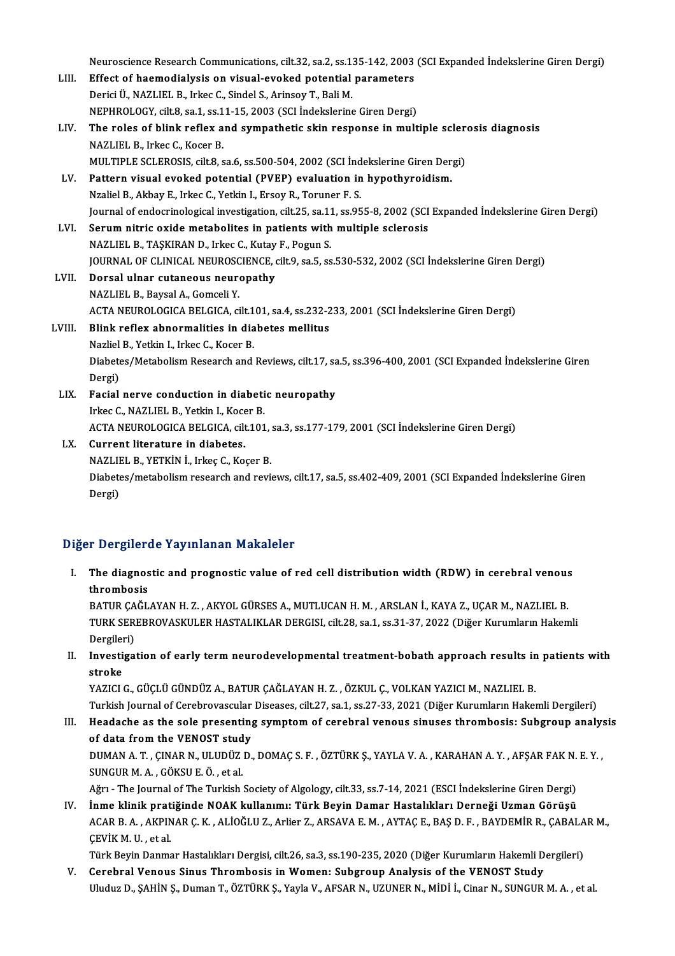|        | Neuroscience Research Communications, cilt.32, sa.2, ss.135-142, 2003 (SCI Expanded İndekslerine Giren Dergi)     |
|--------|-------------------------------------------------------------------------------------------------------------------|
| LIII.  | Effect of haemodialysis on visual-evoked potential parameters                                                     |
|        | Derici Ü., NAZLIEL B., Irkec C., Sindel S., Arinsoy T., Bali M.                                                   |
|        | NEPHROLOGY, cilt.8, sa.1, ss.11-15, 2003 (SCI Indekslerine Giren Dergi)                                           |
| LIV.   | The roles of blink reflex and sympathetic skin response in multiple sclerosis diagnosis                           |
|        | NAZLIEL B., Irkec C., Kocer B.                                                                                    |
|        | MULTIPLE SCLEROSIS, cilt.8, sa.6, ss.500-504, 2002 (SCI İndekslerine Giren Dergi)                                 |
| LV.    | Pattern visual evoked potential (PVEP) evaluation in hypothyroidism.                                              |
|        | Nzaliel B., Akbay E., Irkec C., Yetkin I., Ersoy R., Toruner F. S.                                                |
|        | Journal of endocrinological investigation, cilt.25, sa.11, ss.955-8, 2002 (SCI Expanded Indekslerine Giren Dergi) |
| LVI.   | Serum nitric oxide metabolites in patients with multiple sclerosis                                                |
|        | NAZLIEL B., TAŞKIRAN D., Irkec C., Kutay F., Pogun S.                                                             |
|        | JOURNAL OF CLINICAL NEUROSCIENCE, cilt.9, sa.5, ss.530-532, 2002 (SCI İndekslerine Giren Dergi)                   |
| LVII.  | Dorsal ulnar cutaneous neuropathy                                                                                 |
|        | NAZLIEL B., Baysal A., Gomceli Y.                                                                                 |
|        | ACTA NEUROLOGICA BELGICA, cilt.101, sa.4, ss.232-233, 2001 (SCI İndekslerine Giren Dergi)                         |
| LVIII. | Blink reflex abnormalities in diabetes mellitus                                                                   |
|        | Nazliel B., Yetkin I., Irkec C., Kocer B.                                                                         |
|        | Diabetes/Metabolism Research and Reviews, cilt.17, sa.5, ss.396-400, 2001 (SCI Expanded Indekslerine Giren        |
|        | Dergi)                                                                                                            |
| LIX.   | Facial nerve conduction in diabetic neuropathy                                                                    |
|        | Irkec C., NAZLIEL B., Yetkin I., Kocer B.                                                                         |
|        | ACTA NEUROLOGICA BELGICA, cilt.101, sa.3, ss.177-179, 2001 (SCI İndekslerine Giren Dergi)                         |
| LX.    | Current literature in diabetes.                                                                                   |
|        | NAZLIEL B., YETKİN İ., Irkeç C., Koçer B.                                                                         |
|        | Diabetes/metabolism research and reviews, cilt.17, sa.5, ss.402-409, 2001 (SCI Expanded Indekslerine Giren        |
|        | Dergi)                                                                                                            |

#### Diğer Dergilerde Yayınlanan Makaleler

Iger Dergilerde Yayınlanan Makaleler<br>I. The diagnostic and prognostic value of red cell distribution width (RDW) in cerebral venous<br>thrombosis The diagnos<br>thrombosis<br>RATUR CAČI thrombosis<br>BATUR ÇAĞLAYAN H. Z. , AKYOL GÜRSES A., MUTLUCAN H. M. , ARSLAN İ., KAYA Z., UÇAR M., NAZLIEL B.

thrombosis<br>BATUR ÇAĞLAYAN H. Z. , AKYOL GÜRSES A., MUTLUCAN H. M. , ARSLAN İ., KAYA Z., UÇAR M., NAZLIEL B.<br>TURK SEREBROVASKULER HASTALIKLAR DERGISI, cilt.28, sa.1, ss.31-37, 2022 (Diğer Kurumların Hakemli<br>Persileri) BATUR ÇA<br>TURK SER<br>Dergileri)<br>Investiga Dergileri)

II. Investigation of early term neurodevelopmental treatment-bobath approach results in patients with stroke

YAZICI G., GÜÇLÜ GÜNDÜZ A., BATUR ÇAĞLAYAN H. Z., ÖZKUL Ç., VOLKAN YAZICI M., NAZLIEL B. stroke<br>YAZICI G., GÜÇLÜ GÜNDÜZ A., BATUR ÇAĞLAYAN H. Z. , ÖZKUL Ç., VOLKAN YAZICI M., NAZLIEL B.<br>Turkish Journal of Cerebrovascular Diseases, cilt.27, sa.1, ss.27-33, 2021 (Diğer Kurumların Hakemli Dergileri)<br>Haadaaba as t YAZICI G., GÜÇLÜ GÜNDÜZ A., BATUR ÇAĞLAYAN H. Z. , ÖZKUL Ç., VOLKAN YAZICI M., NAZLIEL B.<br>Turkish Journal of Cerebrovascular Diseases, cilt.27, sa.1, ss.27-33, 2021 (Diğer Kurumların Hakemli Dergileri)<br>III. Headache as the

Turkish Journal of Cerebrovascular<br>Headache as the sole presenting<br>of data from the VENOST study<br>DUMAN A T. CINAR N. ULUDÜZ D Headache as the sole presenting symptom of cerebral venous sinuses thrombosis: Subgroup analy:<br>of data from the VENOST study<br>DUMAN A. T. , ÇINAR N., ULUDÜZ D., DOMAÇ S. F. , ÖZTÜRK Ş., YAYLA V. A. , KARAHAN A. Y. , AFŞAR F

of data from the VENOST study<br>DUMAN A. T. , ÇINAR N., ULUDÜZ D., DOMAÇ S. F. , ÖZTÜRK Ş., YAYLA V. A. , KARAHAN A. Y. , AFŞAR FAK N. E. Y. ,<br>SUNGUR M. A. , GÖKSU E. Ö. , et al. DUMAN A. T. , ÇINAR N., ULUDÜZ D., DOMAÇ S. F. , ÖZTÜRK Ş., YAYLA V. A. , KARAHAN A. Y. , AFŞAR FAK N.<br>SUNGUR M. A. , GÖKSU E. Ö. , et al.<br>Ağrı - The Journal of The Turkish Society of Algology, cilt.33, ss.7-14, 2021 (ESCI

SUNGUR M. A. , GÖKSU E. Ö. , et al.<br>Ağrı - The Journal of The Turkish Society of Algology, cilt.33, ss.7-14, 2021 (ESCI İndekslerine Giren Dergi)<br>IV. İnme klinik pratiğinde NOAK kullanımı: Türk Beyin Damar Hastalıkları Der Ağrı - The Journal of The Turkish Society of Algology, cilt.33, ss.7-14, 2021 (ESCI İndekslerine Giren Dergi)<br><mark>İnme klinik pratiğinde NOAK kullanımı: Türk Beyin Damar Hastalıkları Derneği Uzman Görüşü</mark><br>ACAR B. A. , AKPINAR IV. İnme klinik pratiğinde NOAK kullanımı: Türk Beyin Damar Hastalıkları Derneği Uzman Görüşü<br>ACAR B. A. , AKPINAR Ç. K. , ALİOĞLU Z., Arlier Z., ARSAVA E. M. , AYTAÇ E., BAŞ D. F. , BAYDEMİR R., ÇABALAR M.,<br>ÇEVİK M. U. ,

Türk Beyin Danmar Hastalıkları Dergisi, cilt.26, sa.3, ss.190-235, 2020 (Diğer Kurumların Hakemli Dergileri)

V. Cerebral Venous Sinus Thrombosis inWomen: Subgroup Analysis of the VENOST Study Uluduz D., ŞAHİN Ş., Duman T., ÖZTÜRK Ş., Yayla V., AFSAR N., UZUNER N., MİDİ İ., Cinar N., SUNGUR M. A., et al.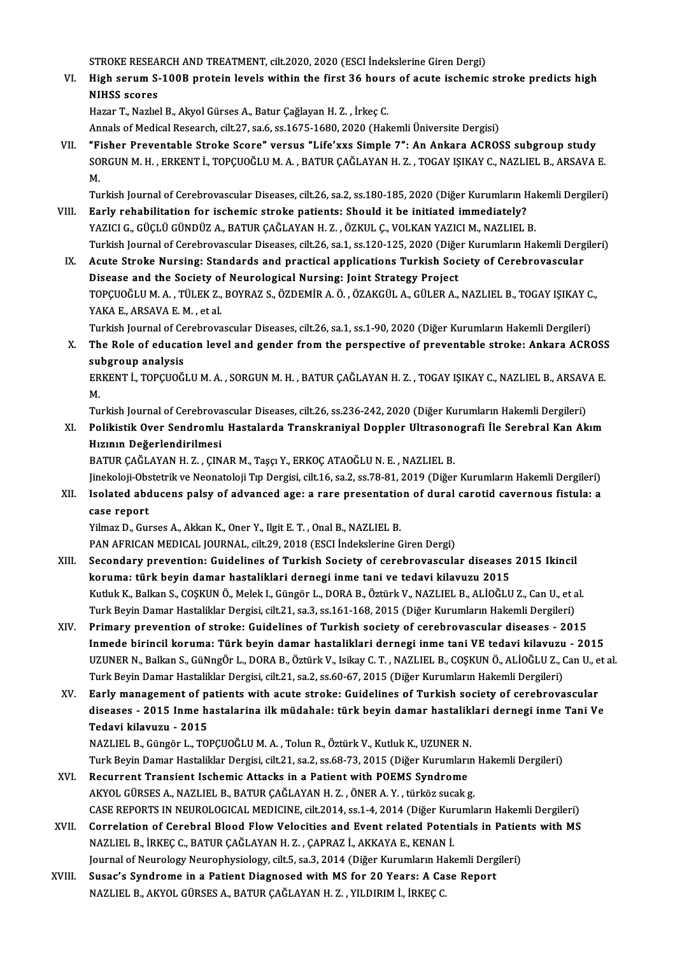STROKE RESEARCH AND TREATMENT, cilt.2020, 2020 (ESCI İndekslerine Giren Dergi)<br>Hish serum S 100B protein levele within the first 36 hevre ef savte isehemis

VI. High serum S-100B protein levels within the first 36 hours of acute ischemic stroke predicts high<br>NIHSS scores STROKE RESEA<br>High serum S-<br>NIHSS scores<br>Hazar T. Nazha

HazarT.,NazlıelB.,AkyolGürsesA.,Batur ÇağlayanH.Z. , İrkeçC.

Annals of Medical Research, cilt.27, sa.6, ss.1675-1680, 2020 (Hakemli Üniversite Dergisi)

VII. "Fisher Preventable Stroke Score" versus "Life'xxs Simple 7": An Ankara ACROSS subgroup study Annals of Medical Research, cilt.27, sa.6, ss.1675-1680, 2020 (Hakemli Üniversite Dergisi)<br>"Fisher Preventable Stroke Score" versus "Life'xxs Simple 7": An Ankara ACROSS subgroup study<br>SORGUN M. H. , ERKENT İ., TOPÇUOĞLU M "F<br>SO<br>M.<br>Tu SORGUN M. H. , ERKENT İ., TOPÇUOĞLU M. A. , BATUR ÇAĞLAYAN H. Z. , TOGAY IŞIKAY C., NAZLIEL B., ARSAVA E.<br>M.<br>Turkish Journal of Cerebrovascular Diseases, cilt.26, sa.2, ss.180-185, 2020 (Diğer Kurumların Hakemli Dergileri)

- M.<br>Turkish Journal of Cerebrovascular Diseases, cilt.26, sa.2, ss.180-185, 2020 (Diğer Kurumların Hal<br>VIII. Early rehabilitation for ischemic stroke patients: Should it be initiated immediately?<br>YAZICI G., GÜÇLÜ GÜNDÜZ A., Turkish Journal of Cerebrovascular Diseases, cilt.26, sa.2, ss.180-185, 2020 (Diğer Kurumların Ha<br><mark>Early rehabilitation for ischemic stroke patients: Should it be initiated immediately?</mark><br>YAZICI G., GÜÇLÜ GÜNDÜZ A., BATUR Ç Turkish Journal of Cerebrovascular Diseases, cilt.26, sa.1, ss.120-125, 2020 (Diğer Kurumların Hakemli Dergileri)
	- IX. Acute Stroke Nursing: Standards and practical applications Turkish Society of Cerebrovascular Turkish Journal of Cerebrovascular Diseases, cilt.26, sa.1, ss.120-125, 2020 (Diğe<br>Acute Stroke Nursing: Standards and practical applications Turkish Soc<br>Disease and the Society of Neurological Nursing: Joint Strategy Proj Acute Stroke Nursing: Standards and practical applications Turkish Society of Cerebrovascular<br>Disease and the Society of Neurological Nursing: Joint Strategy Project<br>TOPÇUOĞLU M. A. , TÜLEK Z., BOYRAZ S., ÖZDEMİR A. Ö. , Ö Disease and the Society of<br>TOPÇUOĞLU M. A. , TÜLEK Z.,<br>YAKA E., ARSAVA E. M. , et al.<br>Turkish Journal of Corshnove TOPÇUOĞLU M. A. , TÜLEK Z., BOYRAZ S., ÖZDEMİR A. Ö. , ÖZAKGÜL A., GÜLER A., NAZLIEL B., TOGAY IŞIKAY C<br>YAKA E., ARSAVA E. M. , et al.<br>Turkish Journal of Cerebrovascular Diseases, cilt.26, sa.1, ss.1-90, 2020 (Diğer Kuruml YAKA E., ARSAVA E. M. , et al.<br>Turkish Journal of Cerebrovascular Diseases, cilt.26, sa.1, ss.1-90, 2020 (Diğer Kurumların Hakemli Dergileri)<br>X. The Role of education level and gender from the perspective of preventabl

Turkish Journal of Ce<br>The Role of educat<br>subgroup analysis<br>EDKENT i TODCUOČ The Role of education level and gender from the perspective of preventable stroke: Ankara ACROSS<br>subgroup analysis<br>ERKENT İ., TOPÇUOĞLU M. A. , SORGUN M. H. , BATUR ÇAĞLAYAN H. Z. , TOGAY IŞIKAY C., NAZLIEL B., ARSAVA E.<br>M

su<br>ER<br>M. ERKENT İ., TOPÇUOĞLU M. A. , SORGUN M. H. , BATUR ÇAĞLAYAN H. Z. , TOGAY IŞIKAY C., NAZLIEL B., ARSAV<br>M.<br>Turkish Journal of Cerebrovascular Diseases, cilt.26, ss.236-242, 2020 (Diğer Kurumların Hakemli Dergileri)<br>Polikisti

M.<br>Turkish Journal of Cerebrovascular Diseases, cilt.26, ss.236-242, 2020 (Diğer Kurumların Hakemli Dergileri)<br>XI. Polikistik Over Sendromlu Hastalarda Transkraniyal Doppler Ultrasonografi İle Serebral Kan Akım<br>Hızının Turkish Journal of Cerebrova<br>Polikistik Over Sendromlu<br>Hızının Değerlendirilmesi<br>PATUP CAČLAYAN H-Z--CIN Polikistik Over Sendromlu Hastalarda Transkraniyal Doppler Ultrasono<br>Hızının Değerlendirilmesi<br>BATUR ÇAĞLAYAN H. Z. , ÇINAR M., Taşçı Y., ERKOÇ ATAOĞLU N. E. , NAZLIEL B.<br>Jinakalaji Obstatrik ve Neanatalaji Tın Dargisi, si

Hızının De<mark>ğerlendirilmesi</mark><br>BATUR ÇAĞLAYAN H. Z. , ÇINAR M., Taşçı Y., ERKOÇ ATAOĞLU N. E. , NAZLIEL B.<br>Jinekoloji-Obstetrik ve Neonatoloji Tıp Dergisi, cilt.16, sa.2, ss.78-81, 2019 (Diğer Kurumların Hakemli Dergileri)<br>Is

BATUR ÇAĞLAYAN H. Z. , ÇINAR M., Taşçı Y., ERKOÇ ATAOĞLU N. E. , NAZLIEL B.<br>Jinekoloji-Obstetrik ve Neonatoloji Tıp Dergisi, cilt.16, sa.2, ss.78-81, 2019 (Diğer Kurumların Hakemli Dergileri)<br>XII. Isolated abducens palsy o Jinekoloji-Obs<br>Isolated abd<br>case report<br><sup>Vilmoz D.</sup> Cu

Yilmaz D., Gurses A., Akkan K., Oner Y., Ilgit E. T., Onal B., NAZLIEL B.

PAN AFRICAN MEDICAL JOURNAL, cilt.29, 2018 (ESCI İndekslerine Giren Dergi)

- Yilmaz D., Gurses A., Akkan K., Oner Y., Ilgit E. T. , Onal B., NAZLIEL B.<br>PAN AFRICAN MEDICAL JOURNAL, cilt.29, 2018 (ESCI İndekslerine Giren Dergi)<br>XIII. Secondary prevention: Guidelines of Turkish Society of cerebrovasc PAN AFRICAN MEDICAL JOURNAL, cilt.29, 2018 (ESCI İndekslerine Giren Dergi)<br>Secondary prevention: Guidelines of Turkish Society of cerebrovascular diseases<br>koruma: türk beyin damar hastaliklari dernegi inme tani ve tedavi k Secondary prevention: Guidelines of Turkish Society of cerebrovascular diseases 2015 Ikincil<br>koruma: türk beyin damar hastaliklari dernegi inme tani ve tedavi kilavuzu 2015<br>Kutluk K., Balkan S., COŞKUN Ö., Melek I., Güngör koruma: türk beyin damar hastaliklari dernegi inme tani ve tedavi kilavuzu 2015<br>Kutluk K., Balkan S., COŞKUN Ö., Melek I., Güngör L., DORA B., Öztürk V., NAZLIEL B., ALİOĞLU Z., Can U., et a<br>Turk Beyin Damar Hastaliklar De Kutluk K., Balkan S., COŞKUN Ö., Melek I., Güngör L., DORA B., Öztürk V., NAZLIEL B., ALİOĞLU Z., Can U., et al.<br>Turk Beyin Damar Hastaliklar Dergisi, cilt.21, sa.3, ss.161-168, 2015 (Diğer Kurumların Hakemli Dergileri)<br>XI
- Turk Beyin Damar Hastaliklar Dergisi, cilt.21, sa.3, ss.161-168, 2015 (Diğer Kurumların Hakemli Dergileri)<br>Primary prevention of stroke: Guidelines of Turkish society of cerebrovascular diseases 2015<br>Inmede birincil koru Primary prevention of stroke: Guidelines of Turkish society of cerebrovascular diseases - 2015<br>Inmede birincil koruma: Türk beyin damar hastaliklari dernegi inme tani VE tedavi kilavuzu - 2015<br>UZUNER N., Balkan S., GüNngÖr Inmede birincil koruma: Türk beyin damar hastaliklari dernegi inme tani VE tedavi kilavuzu - 2015<br>UZUNER N., Balkan S., GüNngÖr L., DORA B., Öztürk V., Isikay C. T. , NAZLIEL B., COŞKUN Ö., ALİOĞLU Z., Can U., et al.<br>Turk UZUNER N., Balkan S., GüNngÖr L., DORA B., Öztürk V., Isikay C. T. , NAZLIEL B., COŞKUN Ö., ALİOĞLU Z., Can U., e<br>Turk Beyin Damar Hastaliklar Dergisi, cilt.21, sa.2, ss.60-67, 2015 (Diğer Kurumların Hakemli Dergileri)<br>XV.
- Turk Beyin Damar Hastaliklar Dergisi, cilt.21, sa.2, ss.60-67, 2015 (Diğer Kurumların Hakemli Dergileri)<br>Early management of patients with acute stroke: Guidelines of Turkish society of cerebrovascular<br>diseases 2015 Inme Early management of p<br>diseases - 2015 Inme h<br>Tedavi kilavuzu - 2015<br>NAZUEL B. Güngör L. TO diseases - 2015 Inme hastalarina ilk müdahale: türk beyin damar hastalik.<br>Tedavi kilavuzu - 2015<br>NAZLIEL B., Güngör L., TOPÇUOĞLU M. A. , Tolun R., Öztürk V., Kutluk K., UZUNER N.<br>Turk Boyin Damar Hastaliklar Dargisi, silt
- Tedavi kilavuzu 2015<br>NAZLIEL B., Güngör L., TOPÇUOĞLU M. A. , Tolun R., Öztürk V., Kutluk K., UZUNER N.<br>Turk Beyin Damar Hastaliklar Dergisi, cilt.21, sa.2, ss.68-73, 2015 (Diğer Kurumların Hakemli Dergileri)<br>Begunnant T NAZLIEL B., Güngör L., TOPÇUOĞLU M. A. , Tolun R., Öztürk V., Kutluk K., UZUNER N.<br>Turk Beyin Damar Hastaliklar Dergisi, cilt.21, sa.2, ss.68-73, 2015 (Diğer Kurumları<br>XVI. Recurrent Transient Ischemic Attacks in a Patient
- Turk Beyin Damar Hastaliklar Dergisi, cilt.21, sa.2, ss.68-73, 2015 (Diğer Kurumların<br>Recurrent Transient Ischemic Attacks in a Patient with POEMS Syndrome<br>AKYOL GÜRSES A., NAZLIEL B., BATUR ÇAĞLAYAN H. Z. , ÖNER A. Y. , t Recurrent Transient Ischemic Attacks in a Patient with POEMS Syndrome<br>AKYOL GÜRSES A., NAZLIEL B., BATUR ÇAĞLAYAN H. Z. , ÖNER A. Y. , türköz sucak g.<br>CASE REPORTS IN NEUROLOGICAL MEDICINE, cilt.2014, ss.1-4, 2014 (Diğer K AKYOL GÜRSES A., NAZLIEL B., BATUR ÇAĞLAYAN H. Z. , ÖNER A. Y. , türköz sucak g.<br>CASE REPORTS IN NEUROLOGICAL MEDICINE, cilt.2014, ss.1-4, 2014 (Diğer Kurumların Hakemli Dergileri)<br>XVII. Correlation of Cerebral Blood Flow
- CASE REPORTS IN NEUROLOGICAL MEDICINE, cilt.2014, ss.1-4, 2014 (Diğer Kur<br>Correlation of Cerebral Blood Flow Velocities and Event related Poten<br>NAZLIEL B., İRKEÇ C., BATUR ÇAĞLAYAN H. Z. , ÇAPRAZ İ., AKKAYA E., KENAN İ.<br>Jo Correlation of Cerebral Blood Flow Velocities and Event related Potentials in Patien<br>NAZLIEL B., İRKEÇ C., BATUR ÇAĞLAYAN H. Z. , ÇAPRAZ İ., AKKAYA E., KENAN İ.<br>Journal of Neurology Neurophysiology, cilt.5, sa.3, 2014 (Diğ NAZLIEL B., İRKEÇ C., BATUR ÇAĞLAYAN H. Z. , ÇAPRAZ İ., AKKAYA E., KENAN İ.<br>Journal of Neurology Neurophysiology, cilt.5, sa.3, 2014 (Diğer Kurumların Hakemli Derg<br>XVIII. Susac's Syndrome in a Patient Diagnosed with MS for
- Journal of Neurology Neurophysiology, cilt.5, sa.3, 2014 (Diğer Kurumların Hakemli Dergileri)<br>Susac's Syndrome in a Patient Diagnosed with MS for 20 Years: A Case Report<br>NAZLIEL B., AKYOL GÜRSES A., BATUR ÇAĞLAYAN H. Z. ,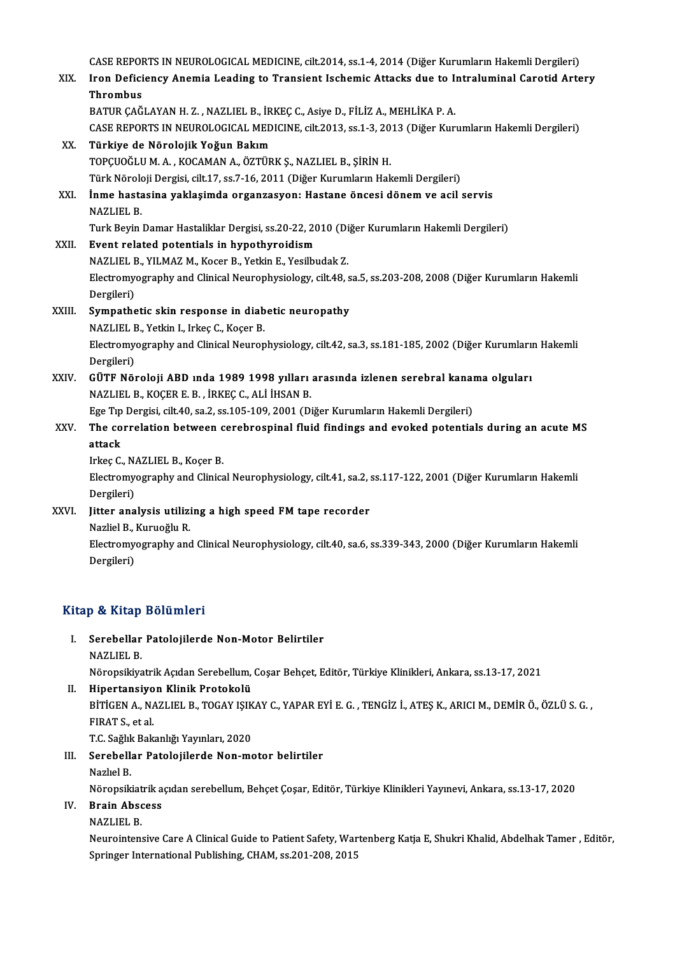|        | CASE REPORTS IN NEUROLOGICAL MEDICINE, cilt.2014, ss.1-4, 2014 (Diğer Kurumların Hakemli Dergileri)      |
|--------|----------------------------------------------------------------------------------------------------------|
| XIX.   | Iron Deficiency Anemia Leading to Transient Ischemic Attacks due to Intraluminal Carotid Artery          |
|        | <b>Thrombus</b>                                                                                          |
|        | BATUR ÇAĞLAYAN H.Z., NAZLIEL B., İRKEÇ C., Asiye D., FİLİZ A., MEHLİKA P.A.                              |
|        | CASE REPORTS IN NEUROLOGICAL MEDICINE, cilt.2013, ss.1-3, 2013 (Diğer Kurumların Hakemli Dergileri)      |
| XX.    | Türkiye de Nörolojik Yoğun Bakım                                                                         |
|        | TOPÇUOĞLU M. A., KOCAMAN A., ÖZTÜRK Ş., NAZLIEL B., ŞİRİN H.                                             |
|        | Türk Nöroloji Dergisi, cilt.17, ss.7-16, 2011 (Diğer Kurumların Hakemli Dergileri)                       |
| XXI.   | İnme hastasina yaklaşimda organzasyon: Hastane öncesi dönem ve acil servis                               |
|        | <b>NAZLIEL B</b>                                                                                         |
|        | Turk Beyin Damar Hastaliklar Dergisi, ss.20-22, 2010 (Diğer Kurumların Hakemli Dergileri)                |
| XXII.  | Event related potentials in hypothyroidism                                                               |
|        | NAZLIEL B., YILMAZ M., Kocer B., Yetkin E., Yesilbudak Z.                                                |
|        | Electromyography and Clinical Neurophysiology, cilt.48, sa.5, ss.203-208, 2008 (Diğer Kurumların Hakemli |
|        | Dergileri)                                                                                               |
| XXIII. | Sympathetic skin response in diabetic neuropathy                                                         |
|        | NAZLIEL B., Yetkin I., Irkeç C., Koçer B.                                                                |
|        | Electromyography and Clinical Neurophysiology, cilt.42, sa.3, ss.181-185, 2002 (Diğer Kurumların Hakemli |
|        | Dergileri)                                                                                               |
| XXIV.  | GÜTF Nöroloji ABD ında 1989 1998 yılları arasında izlenen serebral kanama olguları                       |
|        | NAZLIEL B., KOÇER E. B., İRKEÇ C., ALİ İHSAN B.                                                          |
|        | Ege Tıp Dergisi, cilt.40, sa.2, ss.105-109, 2001 (Diğer Kurumların Hakemli Dergileri)                    |
| XXV.   | The correlation between cerebrospinal fluid findings and evoked potentials during an acute MS            |
|        | attack                                                                                                   |
|        | Irkeç C., NAZLIEL B., Koçer B.                                                                           |
|        | Electromyography and Clinical Neurophysiology, cilt.41, sa.2, ss.117-122, 2001 (Diğer Kurumların Hakemli |
|        | Dergileri)                                                                                               |
| XXVI.  | Jitter analysis utilizing a high speed FM tape recorder                                                  |
|        | Nazliel B., Kuruoğlu R.                                                                                  |
|        | Electromyography and Clinical Neurophysiology, cilt.40, sa.6, ss.339-343, 2000 (Diğer Kurumların Hakemli |
|        | Dovedown                                                                                                 |

Nazliel B., .<br>Electromy<br>Dergileri)

# Dergileri)<br>Kitap & Kitap Bölümleri

- itap & Kitap Bölümleri<br>I. Serebellar Patolojilerde Non-Motor Belirtiler<br>NAZLIEL B p <del>a marp</del><br>Serebellar<br>NAZLIEL B.<br>Näropsikive
	-

NAZLIEL B.<br>Nöropsikiyatrik Açıdan Serebellum, Coşar Behçet, Editör, Türkiye Klinikleri, Ankara, ss.13-17, 2021

- II. Hipertansiyon Klinik Protokolü Nöropsikiyatrik Açıdan Serebellum, Coşar Behçet, Editör, Türkiye Klinikleri, Ankara, ss.13-17, 2021<br><mark>Hipertansiyon Klinik Protokolü</mark><br>BİTİGEN A., NAZLIEL B., TOGAY IŞIKAY C., YAPAR EYİ E. G. , TENGİZ İ., ATEŞ K., ARICI M., Hi<mark>pertansiyo</mark><br>BİTİGEN A., N*A*<br>FIRAT S., et al.<br>T.C. Sağlık Bak BİTİGEN A., NAZLIEL B., TOGAY IŞIK<br>FIRAT S., et al.<br>T.C. Sağlık Bakanlığı Yayınları, 2020<br>Saraballar Batalajilarda Nan me FIRAT S., et al.<br>T.C. Sağlık Bakanlığı Yayınları, 2020<br>III. Serebellar Patolojilerde Non-motor belirtiler<br>Nazlıel B. T.C. Sağlık Bakanlığı Yayınları, 2020
- -

Serebellar Patolojilerde Non-motor belirtiler<br>Nazlıel B.<br>Nöropsikiatrik açıdan serebellum, Behçet Çoşar, Editör, Türkiye Klinikleri Yayınevi, Ankara, ss.13-17, 2020<br>Prain Abasess

### IV. Brain Abscess

## Nöropsikiat<br><mark>Brain Abso</mark><br>NAZLIEL B.<br>Noupsintens

Brain Abscess<br>NAZLIEL B.<br>Neurointensive Care A Clinical Guide to Patient Safety, Wartenberg Katja E, Shukri Khalid, Abdelhak Tamer , Editör, NAZLIEL B.<br>Neurointensive Care A Clinical Guide to Patient Safety, War<br>Springer International Publishing, CHAM, ss.201-208, 2015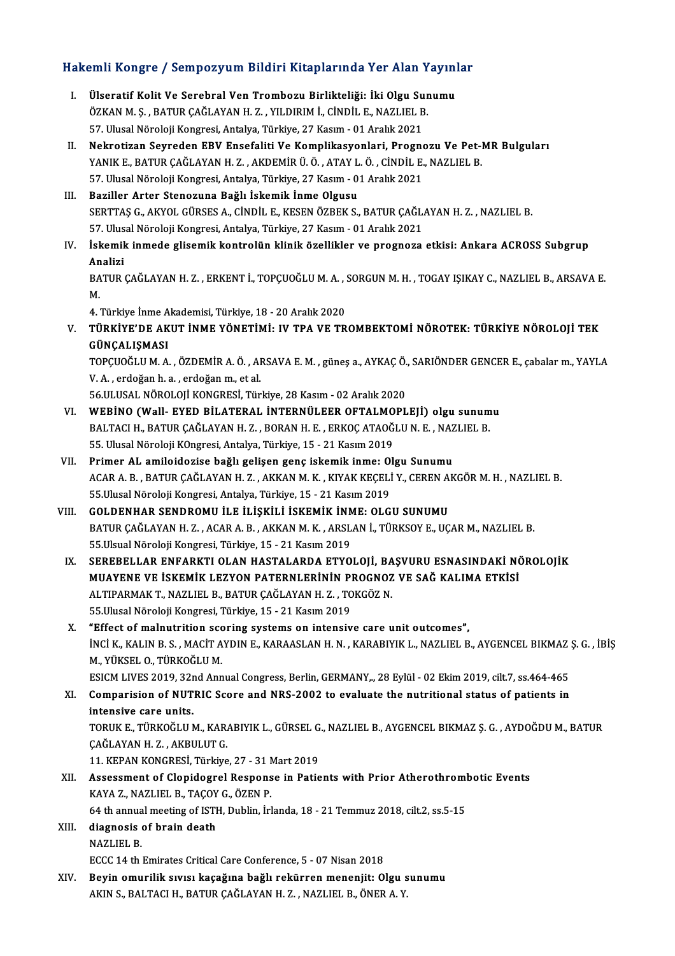# Hakemli Kongre / Sempozyum Bildiri Kitaplarında Yer Alan Yayınlar<br>Hakemli Kongre / Sempozyum Bildiri Kitaplarında Yer Alan Yayınlar

- akemli Kongre / Sempozyum Bildiri Kitaplarında Yer Alan Yayın!<br>I. Ülseratif Kolit Ve Serebral Ven Trombozu Birlikteliği: İki Olgu Sunumu<br>ÖZKAN M.S. BATUR CAČLAYAN H.Z. VU DIRIM İ. CİNDİL E. NAZLIEL R Ölseratif Kolit Ve Serebral Ven Trombozu Birlikteliği: İki Olgu Sur<br>ÖZKAN M. Ş. , BATUR ÇAĞLAYAN H. Z. , YILDIRIM İ., CİNDİL E., NAZLIEL B.<br>57 Hivesi Nörələji Kongresi Antalya Türkiye 27 Kasım - 01 Aralık 2021 Ülseratif Kolit Ve Serebral Ven Trombozu Birlikteliği: İki Olgu Su<br>ÖZKAN M. Ş. , BATUR ÇAĞLAYAN H. Z. , YILDIRIM İ., CİNDİL E., NAZLIEL B<br>57. Ulusal Nöroloji Kongresi, Antalya, Türkiye, 27 Kasım - 01 Aralık 2021<br>Nekretiran ÖZKAN M. Ş. , BATUR ÇAĞLAYAN H. Z. , YILDIRIM İ., CİNDİL E., NAZLIEL B.<br>57. Ulusal Nöroloji Kongresi, Antalya, Türkiye, 27 Kasım - 01 Aralık 2021<br>II. Nekrotizan Seyreden EBV Ensefaliti Ve Komplikasyonları, Prognozu Ve Pet-
- 57. Ulusal Nöroloji Kongresi, Antalya, Türkiye, 27 Kasım 01 Aralık 2021<br>Nekrotizan Seyreden EBV Ensefaliti Ve Komplikasyonlari, Prognozu Ve Pet-l<br>YANIK E., BATUR ÇAĞLAYAN H. Z. , AKDEMİR Ü. Ö. , ATAY L. Ö. , CİNDİL E., N Nekrotizan Seyreden EBV Ensefaliti Ve Komplikasyonlari, Progno<br>YANIK E., BATUR ÇAĞLAYAN H. Z. , AKDEMİR Ü. Ö. , ATAY L. Ö. , CİNDİL E.<br>57. Ulusal Nöroloji Kongresi, Antalya, Türkiye, 27 Kasım - 01 Aralık 2021<br>Bariller Arte YANIK E., BATUR ÇAĞLAYAN H. Z. , AKDEMİR Ü. Ö. , ATAY L. Ö. , CİNDİL E., NAZLIEL B.<br>57. Ulusal Nöroloji Kongresi, Antalya, Türkiye, 27 Kasım - 01 Aralık 2021<br>III. Baziller Arter Stenozuna Bağlı İskemik İnme Olgusu
- SERTTAŞG.,AKYOLGÜRSESA.,CİNDİL E.,KESENÖZBEKS.,BATURÇAĞLAYANH.Z. ,NAZLIELB. Baziller Arter Stenozuna Bağlı İskemik İnme Olgusu<br>SERTTAŞ G., AKYOL GÜRSES A., CİNDİL E., KESEN ÖZBEK S., BATUR ÇAĞL.<br>57. Ulusal Nöroloji Kongresi, Antalya, Türkiye, 27 Kasım - 01 Aralık 2021<br>İskemik inmede glisemik kentr
- IV. İskemik inmede glisemik kontrolün klinik özellikler ve prognoza etkisi: Ankara ACROSS Subgrup<br>Analizi 57. Ulus<br>İskemil<br>Analizi<br>PATUP İskemik inmede glisemik kontrolün klinik özellikler ve prognoza etkisi: Ankara ACROSS Subgrup<br>Analizi<br>BATUR ÇAĞLAYAN H. Z. , ERKENT İ., TOPÇUOĞLU M. A. , SORGUN M. H. , TOGAY IŞIKAY C., NAZLIEL B., ARSAVA E.<br>M

An<br>BA<br>M BATUR ÇAĞLAYAN H. Z. , ERKENT İ., TOPÇUOĞLU M. A. , .<br>M.<br>4. Türkiye İnme Akademisi, Türkiye, 18 - 20 Aralık 2020<br>TÜRKİYE'DE AKUT İNME YÖNETİMİ. IV TRA VE TR

M.<br>4. Türkiye İnme Akademisi, Türkiye, 18 - 20 Aralık 2020<br>V. – TÜRKİYE'DE AKUT İNME YÖNETİMİ: IV TPA VE TROMBEKTOMİ NÖROTEK: TÜRKİYE NÖROLOJİ TEK<br>GÜNCALISMASI 4. Türkiye İnme A<br><mark>TÜRKİYE'DE AK</mark><br>GÜNÇALIŞMASI<br>TOPCUOČI ILM A TÜRKİYE'DE AKUT İNME YÖNETİMİ: IV TPA VE TROMBEKTOMİ NÖROTEK: TÜRKİYE NÖROLOJİ TEK<br>GÜNÇALIŞMASI<br>TOPÇUOĞLU M. A. , ÖZDEMİR A. Ö. , ARSAVA E. M. , güneş a., AYKAÇ Ö., SARIÖNDER GENCER E., çabalar m., YAYLA<br>V. A., erdeğen b.

GÜNÇALIŞMASI<br>TOPÇUOĞLU M. A. , ÖZDEMİR A. Ö. , ARSAVA E. M. , güneş a., AYKAÇ Ö.<br>V. A. , erdoğan h. a. , erdoğan m., et al.<br>56.ULUSAL NÖROLOIİ KONGRESİ. Türkive. 28 Kasım - 02 Aralık 2020 TOPÇUOĞLU M. A., ÖZDEMİR A. Ö., ARSAVA E. M., güneş a., AYKAÇ Ö., SARIÖNDER GENCER E., çabalar m., YAYLA

- VI. WEBİNO (Wall- EYED BİLATERAL İNTERNÜLEER OFTALMOPLEJİ) olgu sunumu 56.ULUSAL NÖROLOJİ KONGRESİ, Türkiye, 28 Kasım - 02 Aralık 2020<br>WEBİNO (Wall- EYED BİLATERAL İNTERNÜLEER OFTALMOPLEJİ) olgu sunum<br>BALTACI H., BATUR ÇAĞLAYAN H. Z. , BORAN H. E. , ERKOÇ ATAOĞLU N. E. , NAZLIEL B.<br>EE Ulugal WEBİNO (Wall- EYED BİLATERAL İNTERNÜLEER OFTALMO<br>BALTACI H., BATUR ÇAĞLAYAN H. Z. , BORAN H. E. , ERKOÇ ATAOĞ<br>55. Ulusal Nöroloji KOngresi, Antalya, Türkiye, 15 - 21 Kasım 2019<br>Primar AL amilaidarisa bağlı galisan gana isk BALTACI H., BATUR ÇAĞLAYAN H. Z. , BORAN H. E. , ERKOÇ ATAOĞLU N. E. , NAZ<br>55. Ulusal Nöroloji KOngresi, Antalya, Türkiye, 15 - 21 Kasım 2019<br>VII. Primer AL amiloidozise bağlı gelişen genç iskemik inme: Olgu Sunumu
- 55. Ulusal Nöroloji K0ngresi, Antalya, Türkiye, 15 21 Kasım 2019<br><mark>Primer AL amiloidozise bağlı gelişen genç iskemik inme: Olgu Sunumu</mark><br>ACAR A. B. , BATUR ÇAĞLAYAN H. Z. , AKKAN M. K. , KIYAK KEÇELİ Y., CEREN AKGÖR M. H. Primer AL amiloidozise bağlı gelişen genç iskemik inme: 0)<br>ACAR A. B. , BATUR ÇAĞLAYAN H. Z. , AKKAN M. K. , KIYAK KEÇELİ<br>55.Ulusal Nöroloji Kongresi, Antalya, Türkiye, 15 - 21 Kasım 2019<br>COLDENHAR SENDROMU İLE İLİSKİLİ İS ACAR A. B., BATUR ÇAĞLAYAN H. Z., AKKAN M. K., KIYAK KEÇELİ Y., CEREN A<br>55.Ulusal Nöroloji Kongresi, Antalya, Türkiye, 15 - 21 Kasım 2019<br>VIII. GOLDENHAR SENDROMU İLE İLİŞKİLİ İSKEMİK İNME: OLGU SUNUMU<br>PATUP CAĞLAYAN H. Z.
- 55.Ulusal Nöroloji Kongresi, Antalya, Türkiye, 15 21 Kasım 2019<br>GOLDENHAR SENDROMU İLE İLİŞKİLİ İSKEMİK İNME: OLGU SUNUMU<br>BATUR ÇAĞLAYAN H. Z. , ACAR A. B. , AKKAN M. K. , ARSLAN İ., TÜRKSOY E., UÇAR M., NAZLIEL B.<br>55 Hl GOLDENHAR SENDROMU İLE İLİŞKİLİ İSKEMİK İNM<br>BATUR ÇAĞLAYAN H. Z. , ACAR A. B. , AKKAN M. K. , ARSL<br>55.Ulsual Nöroloji Kongresi, Türkiye, 15 - 21 Kasım 2019<br>SERERELLAR ENEARKTLOLAN HASTALARDA ETVO BATUR ÇAĞLAYAN H. Z. , ACAR A. B. , AKKAN M. K. , ARSLAN İ., TÜRKSOY E., UÇAR M., NAZLIEL B.<br>55.Ulsual Nöroloji Kongresi, Türkiye, 15 - 21 Kasım 2019<br>IX. SEREBELLAR ENFARKTI OLAN HASTALARDA ETYOLOJİ, BAŞVURU ESNASINDAK
- 55.Ulsual Nöroloji Kongresi, Türkiye, 15 21 Kasım 2019<br>SEREBELLAR ENFARKTI OLAN HASTALARDA ETYOLOJİ, BAŞVURU ESNASINDAKİ NÖ<br>MUAYENE VE İSKEMİK LEZYON PATERNLERİNİN PROGNOZ VE SAĞ KALIMA ETKİSİ<br>ALTIBARMAK T. NAZLIEL B. BA SEREBELLAR ENFARKTI OLAN HASTALARDA ETYOLOJİ, BA<br>MUAYENE VE İSKEMİK LEZYON PATERNLERİNİN PROGNOZ<br>ALTIPARMAK T., NAZLIEL B., BATUR ÇAĞLAYAN H. Z. , TOKGÖZ N.<br>EE Illusal Nöroloji Kongresi Türkiye 15 – 21 Kasım 2019 MUAYENE VE İSKEMİK LEZYON PATERNLERİNİN PI<br>ALTIPARMAK T., NAZLIEL B., BATUR ÇAĞLAYAN H. Z. , TO<br>55.Ulusal Nöroloji Kongresi, Türkiye, 15 - 21 Kasım 2019<br>"Effect of malnutrition seoring systems on intensiy ALTIPARMAK T., NAZLIEL B., BATUR ÇAĞLAYAN H. Z. , TOKGÖZ N.<br>55.Ulusal Nöroloji Kongresi, Türkiye, 15 - 21 Kasım 2019<br>X. "Effect of malnutrition scoring systems on intensive care unit outcomes",
- İNCİ K., KALIN B. S., MACİT AYDIN E., KARAASLAN H. N., KARABIYIK L., NAZLIEL B., AYGENCEL BIKMAZ Ş. G., İBİŞ M.,YÜKSELO.,TÜRKOĞLUM. INCI K., KALIN B. S. , MACIT AYDIN E., KARAASLAN H. N. , KARABIYIK L., NAZLIEL B., AYGENCEL BIKMAZ :<br>M., YÜKSEL O., TÜRKOĞLU M.<br>ESICM LIVES 2019, 32nd Annual Congress, Berlin, GERMANY,., 28 Eylül - 02 Ekim 2019, cilt.7, ss

M., YÜKSEL O., TÜRKOĞLU M.<br>ESICM LIVES 2019, 32nd Annual Congress, Berlin, GERMANY,., 28 Eylül - 02 Ekim 2019, cilt.7, ss.464-465<br>XI. Comparision of NUTRIC Score and NRS-2002 to evaluate the nutritional status of patie ESICM LIVES 2019, 32r<br>Comparision of NUT<br>intensive care units.<br>TOBUK E. TÜRKOĞU UN Comparision of NUTRIC Score and NRS-2002 to evaluate the nutritional status of patients in<br>intensive care units.<br>TORUK E., TÜRKOĞLU M., KARABIYIK L., GÜRSEL G., NAZLIEL B., AYGENCEL BIKMAZ Ş. G. , AYDOĞDU M., BATUR<br>CAĞLAYA intensive care units.<br>TORUK E., TÜRKOĞLU M., KAR.<br>ÇAĞLAYAN H. Z. , AKBULUT G.<br>11. KERAN KONCRESİ. Türkiye TORUK E., TÜRKOĞLU M., KARABIYIK L., GÜRSEL G<br>ÇAĞLAYAN H. Z. , AKBULUT G.<br>11. KEPAN KONGRESİ, Türkiye, 27 - 31 Mart 2019<br>Assessment of Clanidesuel Besnense in Batis

11. KEPAN KONGRESİ, Türkiye, 27 - 31 Mart 2019

- CAĞLAYAN H. Z. , AKBULUT G.<br>11. KEPAN KONGRESİ, Türkiye, 27 31 Mart 2019<br>XII. Assessment of Clopidogrel Response in Patients with Prior Atherothrombotic Events<br>KAYA Z., NAZLIEL B., TAÇOY G., ÖZEN P. Assessment of Clopidogrel Response in Patients with Prior Atherothroml<br>KAYA Z., NAZLIEL B., TAÇOY G., ÖZEN P.<br>64 th annual meeting of ISTH, Dublin, İrlanda, 18 - 21 Temmuz 2018, cilt.2, ss.5-15<br>diagnosis of brain dosth
- XIII. diagnosis of brain death<br>NAZLIEL B. 64 th annua<br>diagnosis<br>NAZLIEL B.<br>ECCC 14 th
	- ECCC 14 th Emirates Critical Care Conference, 5 07 Nisan 2018
- NAZLIEL B.<br>ECCC 14 th Emirates Critical Care Conference, 5 07 Nisan 2018<br>XIV. Beyin omurilik sıvısı kaçağına bağlı rekürren menenjit: Olgu sunumu<br>AKIN S. BALTACLH, BATUR CAĞLAYAN H.Z. NAZLIEL B. ÖNER A. V ECCC 14 th Emirates Critical Care Conference, 5 - 07 Nisan 2018<br>Beyin omurilik sıvısı kaçağına bağlı rekürren menenjit: Olgu s<br>AKIN S., BALTACI H., BATUR ÇAĞLAYAN H. Z. , NAZLIEL B., ÖNER A. Y.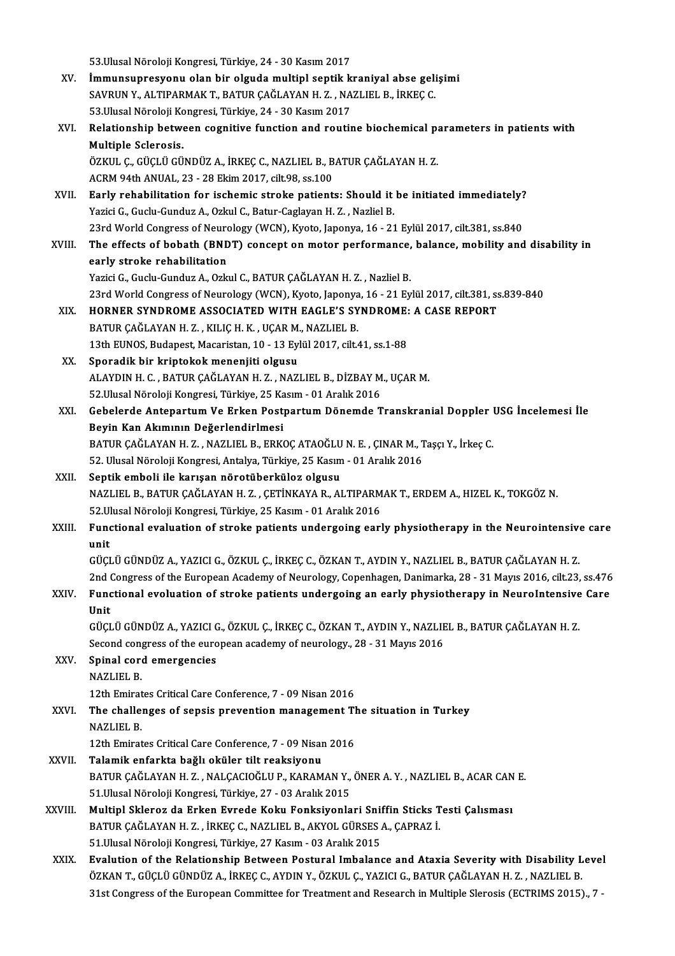|              | 53. Ulusal Nöroloji Kongresi, Türkiye, 24 - 30 Kasım 2017                                                                                                    |
|--------------|--------------------------------------------------------------------------------------------------------------------------------------------------------------|
| XV.          | İmmunsupresyonu olan bir olguda multipl septik kraniyal abse gelişimi                                                                                        |
|              | SAVRUN Y., ALTIPARMAK T., BATUR ÇAĞLAYAN H. Z., NAZLIEL B., İRKEÇ C.                                                                                         |
|              | 53. Ulusal Nöroloji Kongresi, Türkiye, 24 - 30 Kasım 2017                                                                                                    |
| XVI.         | Relationship between cognitive function and routine biochemical parameters in patients with                                                                  |
|              | <b>Multiple Sclerosis</b>                                                                                                                                    |
|              | ÖZKUL Ç., GÜÇLÜ GÜNDÜZ A., İRKEÇ C., NAZLIEL B., BATUR ÇAĞLAYAN H. Z.                                                                                        |
|              | ACRM 94th ANUAL, 23 - 28 Ekim 2017, cilt 98, ss 100                                                                                                          |
| XVII.        | Early rehabilitation for ischemic stroke patients: Should it be initiated immediately?                                                                       |
|              | Yazici G., Guclu-Gunduz A., Ozkul C., Batur-Caglayan H. Z., Nazliel B.                                                                                       |
|              | 23rd World Congress of Neurology (WCN), Kyoto, Japonya, 16 - 21 Eylül 2017, cilt.381, ss.840                                                                 |
| XVIII.       | The effects of bobath (BNDT) concept on motor performance, balance, mobility and disability in                                                               |
|              | early stroke rehabilitation                                                                                                                                  |
|              | Yazici G., Guclu-Gunduz A., Ozkul C., BATUR ÇAĞLAYAN H. Z., Nazliel B.                                                                                       |
|              | 23rd World Congress of Neurology (WCN), Kyoto, Japonya, 16 - 21 Eylül 2017, cilt.381, ss.839-840                                                             |
| XIX.         | HORNER SYNDROME ASSOCIATED WITH EAGLE'S SYNDROME: A CASE REPORT                                                                                              |
|              | BATUR ÇAĞLAYAN H. Z., KILIÇ H. K., UÇAR M., NAZLIEL B.                                                                                                       |
|              | 13th EUNOS, Budapest, Macaristan, 10 - 13 Eylül 2017, cilt.41, ss.1-88                                                                                       |
| XX.          | Sporadik bir kriptokok menenjiti olgusu                                                                                                                      |
|              | ALAYDIN H. C., BATUR ÇAĞLAYAN H. Z., NAZLIEL B., DİZBAY M., UÇAR M.                                                                                          |
| XXI.         | 52. Ulusal Nöroloji Kongresi, Türkiye, 25 Kasım - 01 Aralık 2016<br>Gebelerde Antepartum Ve Erken Postpartum Dönemde Transkranial Doppler USG Incelemesi İle |
|              | Beyin Kan Akımının Değerlendirlmesi                                                                                                                          |
|              | BATUR ÇAĞLAYAN H.Z., NAZLIEL B., ERKOÇ ATAOĞLU N. E., ÇINAR M., Taşçı Y., İrkeç C.                                                                           |
|              | 52. Ulusal Nöroloji Kongresi, Antalya, Türkiye, 25 Kasım - 01 Aralık 2016                                                                                    |
| XXII.        | Septik emboli ile karışan nörotüberküloz olgusu                                                                                                              |
|              | NAZLIEL B., BATUR ÇAĞLAYAN H. Z., ÇETİNKAYA R., ALTIPARMAK T., ERDEM A., HIZEL K., TOKGÖZ N.                                                                 |
|              | 52. Ulusal Nöroloji Kongresi, Türkiye, 25 Kasım - 01 Aralık 2016                                                                                             |
| XXIII.       | Functional evaluation of stroke patients undergoing early physiotherapy in the Neurointensive care                                                           |
|              | unit                                                                                                                                                         |
|              | GÜÇLÜ GÜNDÜZ A., YAZICI G., ÖZKUL Ç., İRKEÇ C., ÖZKAN T., AYDIN Y., NAZLIEL B., BATUR ÇAĞLAYAN H.Z.                                                          |
|              | 2nd Congress of the European Academy of Neurology, Copenhagen, Danimarka, 28 - 31 Mayıs 2016, cilt.23, ss.476                                                |
| XXIV.        | Functional evoluation of stroke patients undergoing an early physiotherapy in NeuroIntensive Care                                                            |
|              | Unit                                                                                                                                                         |
|              | GÜÇLÜ GÜNDÜZ A., YAZICI G., ÖZKUL Ç., İRKEÇ C., ÖZKAN T., AYDIN Y., NAZLIEL B., BATUR ÇAĞLAYAN H. Z.                                                         |
|              | Second congress of the european academy of neurology., 28 - 31 Mayıs 2016                                                                                    |
| XXV.         | Spinal cord emergencies                                                                                                                                      |
|              | <b>NAZLIEL B.</b><br>12th Emirates Critical Care Conference, 7 - 09 Nisan 2016                                                                               |
| XXVI.        | The challenges of sepsis prevention management The situation in Turkey                                                                                       |
|              | <b>NAZLIEL B</b>                                                                                                                                             |
|              | 12th Emirates Critical Care Conference, 7 - 09 Nisan 2016                                                                                                    |
| <b>XXVII</b> | Talamik enfarkta bağlı oküler tilt reaksiyonu                                                                                                                |
|              | BATUR ÇAĞLAYAN H. Z., NALÇACIOĞLU P., KARAMAN Y., ÖNER A. Y., NAZLIEL B., ACAR CAN E.                                                                        |
|              | 51 Ulusal Nöroloji Kongresi, Türkiye, 27 - 03 Aralık 2015                                                                                                    |
| XXVIII.      | Multipl Skleroz da Erken Evrede Koku Fonksiyonlari Sniffin Sticks Testi Çalısması                                                                            |
|              | BATUR ÇAĞLAYAN H. Z., İRKEÇ C., NAZLIEL B., AKYOL GÜRSES A., ÇAPRAZ İ.                                                                                       |
|              | 51. Ulusal Nöroloji Kongresi, Türkiye, 27 Kasım - 03 Aralık 2015                                                                                             |
| XXIX.        | Evalution of the Relationship Between Postural Imbalance and Ataxia Severity with Disability Level                                                           |
|              | ÖZKAN T., GÜÇLÜ GÜNDÜZ A., İRKEÇ C., AYDIN Y., ÖZKUL Ç., YAZICI G., BATUR ÇAĞLAYAN H. Z. , NAZLIEL B.                                                        |
|              | 31st Congress of the European Committee for Treatment and Research in Multiple Slerosis (ECTRIMS 2015)., 7 -                                                 |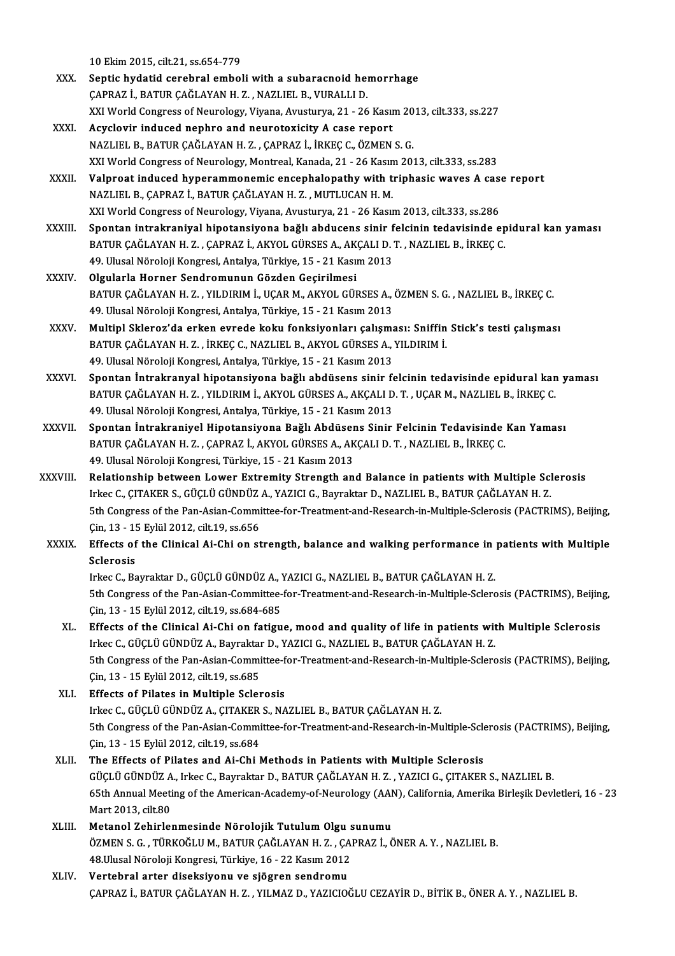10Ekim2015, cilt.21, ss.654-779

- XXX. Septic hydatid cerebral emboli with a subaracnoid hemorrhage CAPRAZ İ., BATUR CAĞLAYAN H.Z., NAZLIEL B., VURALLI D. Septic hydatid cerebral emboli with a subaracnoid hemorrhage<br>ÇAPRAZ İ., BATUR ÇAĞLAYAN H. Z. , NAZLIEL B., VURALLI D.<br>XXI World Congress of Neurology, Viyana, Avusturya, 21 - 26 Kasım 2013, cilt.333, ss.227<br>Asyalovin indus
- XXXI. Acyclovir induced nephro and neurotoxicity A case report<br>NAZLIEL B., BATUR CAĞLAYAN H. Z., CAPRAZ İ., İRKEC C., ÖZMEN S. G. XXI World Congress of Neurology, Viyana, Avusturya, 21 - 26 Kasım 20<br>Acyclovir induced nephro and neurotoxicity A case report<br>NAZLIEL B., BATUR ÇAĞLAYAN H. Z. , ÇAPRAZ İ., İRKEÇ C., ÖZMEN S. G.<br>XXI World Congress of Nourol Acyclovir induced nephro and neurotoxicity A case report<br>NAZLIEL B., BATUR ÇAĞLAYAN H. Z. , ÇAPRAZ İ., İRKEÇ C., ÖZMEN S. G.<br>XXI World Congress of Neurology, Montreal, Kanada, 21 - 26 Kasım 2013, cilt.333, ss.283<br>Valarest
- XXXII. Valproat induced hyperammonemic encephalopathy with triphasic waves A case report<br>NAZLIEL B., CAPRAZ İ., BATUR CAĞLAYAN H. Z., MUTLUCAN H. M. XXI World Congress of Neurology, Montreal, Kanada, 21 - 26 Kasın<br>Valproat induced hyperammonemic encephalopathy with t<br>NAZLIEL B., ÇAPRAZ İ., BATUR ÇAĞLAYAN H. Z. , MUTLUCAN H. M.<br>XXI World Congress of Neurology, Vivano, A Valproat induced hyperammonemic encephalopathy with triphasic waves A case<br>NAZLIEL B., ÇAPRAZ İ., BATUR ÇAĞLAYAN H. Z. , MUTLUCAN H. M.<br>XXI World Congress of Neurology, Viyana, Avusturya, 21 - 26 Kasım 2013, cilt.333, ss.2 NAZLIEL B., ÇAPRAZ İ., BATUR ÇAĞLAYAN H. Z. , MUTLUCAN H. M.<br>XXI World Congress of Neurology, Viyana, Avusturya, 21 - 26 Kasım 2013, cilt.333, ss.286<br>XXXIII. Spontan intrakraniyal hipotansiyona bağlı abducens sinir felcini
- XXI World Congress of Neurology, Viyana, Avusturya, 21 26 Kasım 2013, cilt.333, ss.286<br>Spontan intrakraniyal hipotansiyona bağlı abducens sinir felcinin tedavisinde ep<br>BATUR ÇAĞLAYAN H. Z. , ÇAPRAZ İ., AKYOL GÜRSES A., A Spontan intrakraniyal hipotansiyona bağlı abducens sinir f<br>BATUR ÇAĞLAYAN H. Z. , ÇAPRAZ İ., AKYOL GÜRSES A., AKÇALI D.<br>49. Ulusal Nöroloji Kongresi, Antalya, Türkiye, 15 - 21 Kasım 2013<br>Olaylarla Harnar Sandramunun Gözdan BATUR ÇAĞLAYAN H. Z. , ÇAPRAZ İ., AKYOL GÜRSES A., AKÇALI D. T. , NAZLIEL B., İRKEÇ C.<br>49. Ulusal Nöroloji Kongresi, Antalya, Türkiye, 15 - 21 Kasım 2013<br>XXXIV. Olgularla Horner Sendromunun Gözden Geçirilmesi
- 49. Ulusal Nöroloji Kongresi, Antalya, Türkiye, 15 21 Kasım 2013<br>Olgularla Horner Sendromunun Gözden Geçirilmesi<br>BATUR ÇAĞLAYAN H. Z. , YILDIRIM İ., UÇAR M., AKYOL GÜRSES A., ÖZMEN S. G. , NAZLIEL B., İRKEÇ C.<br>49. Ulusal Olgularla Horner Sendromunun Gözden Geçirilmesi<br>BATUR ÇAĞLAYAN H. Z. , YILDIRIM İ., UÇAR M., AKYOL GÜRSES A.,<br>49. Ulusal Nöroloji Kongresi, Antalya, Türkiye, 15 - 21 Kasım 2013<br>Multinl Sklanog'de orkan evrede koku fonksiyo BATUR ÇAĞLAYAN H. Z. , YILDIRIM İ., UÇAR M., AKYOL GÜRSES A., ÖZMEN S. G. , NAZLIEL B., İRKEÇ C.<br>49. Ulusal Nöroloji Kongresi, Antalya, Türkiye, 15 - 21 Kasım 2013<br>XXXV. Multipl Skleroz'da erken evrede koku fonksiyonları ç
- 49. Ulusal Nöroloji Kongresi, Antalya, Türkiye, 15 21 Kasım 2013<br>Multipl Skleroz'da erken evrede koku fonksiyonları çalışması: Sniffin Stick's testi çalışması<br>BATUR CAĞLAYAN H. Z. , İRKEÇ C., NAZLIEL B., AKYOL GÜRSES A., 49. Ulusal Nöroloji Kongresi, Antalya, Türkiye, 15 - 21 Kasım 2013 BATUR ÇAĞLAYAN H. Z. , İRKEÇ C., NAZLIEL B., AKYOL GÜRSES A., YILDIRIM İ.<br>49. Ulusal Nöroloji Kongresi, Antalya, Türkiye, 15 - 21 Kasım 2013<br>XXXVI. Spontan İntrakranyal hipotansiyona bağlı abdüsens sinir felcinin tedavisin
- 49. Ulusal Nöroloji Kongresi, Antalya, Türkiye, 15 21 Kasım 2013<br>Spontan İntrakranyal hipotansiyona bağlı abdüsens sinir felcinin tedavisinde epidural kan<br>BATUR ÇAĞLAYAN H. Z. , YILDIRIM İ., AKYOL GÜRSES A., AKÇALI D. T. Spontan İntrakranyal hipotansiyona bağlı abdüsens sinir fe<br>BATUR ÇAĞLAYAN H. Z. , YILDIRIM İ., AKYOL GÜRSES A., AKÇALI D<br>49. Ulusal Nöroloji Kongresi, Antalya, Türkiye, 15 - 21 Kasım 2013<br>Spontan İntrakraniyal Hinotansiyon BATUR ÇAĞLAYAN H. Z. , YILDIRIM İ., AKYOL GÜRSES A., AKÇALI D. T. , UÇAR M., NAZLIEL B., İRKEÇ C.<br>49. Ulusal Nöroloji Kongresi, Antalya, Türkiye, 15 - 21 Kasım 2013<br>XXXVII. Spontan İntrakraniyel Hipotansiyona Bağlı Abdüsen
- 49. Ulusal Nöroloji Kongresi, Antalya, Türkiye, 15 21 Kasım 2013<br>Spontan İntrakraniyel Hipotansiyona Bağlı Abdüsens Sinir Felcinin Tedavisinde<br>BATUR ÇAĞLAYAN H. Z. , ÇAPRAZ İ., AKYOL GÜRSES A., AKÇALI D. T. , NAZLIEL B., Spontan İntrakraniyel Hipotansiyona Bağlı Abdüser<br>BATUR ÇAĞLAYAN H. Z. , ÇAPRAZ İ., AKYOL GÜRSES A., AK<br>49. Ulusal Nöroloji Kongresi, Türkiye, 15 - 21 Kasım 2013<br>Belationshin hetusan Lawer Extremity Strangth an BATUR ÇAĞLAYAN H. Z. , ÇAPRAZ İ., AKYOL GÜRSES A., AKÇALI D. T. , NAZLIEL B., İRKEÇ C.<br>49. Ulusal Nöroloji Kongresi, Türkiye, 15 - 21 Kasım 2013<br>XXXVIII. Relationship between Lower Extremity Strength and Balance in patient
- 49. Ulusal Nöroloji Kongresi, Türkiye, 15 21 Kasım 2013<br>Relationship between Lower Extremity Strength and Balance in patients with Multiple Scl<br>Irkec C., ÇITAKER S., GÜÇLÜ GÜNDÜZ A., YAZICI G., Bayraktar D., NAZLIEL B., Irkec C., ÇITAKER S., GÜÇLÜ GÜNDÜZ A., YAZICI G., Bayraktar D., NAZLIEL B., BATUR ÇAĞLAYAN H. Z.<br>5th Congress of the Pan-Asian-Committee-for-Treatment-and-Research-in-Multiple-Sclerosis (PACTRIMS), Beijing, Irkec C., ÇITAKER S., GÜÇLÜ GÜNDÜZ<br>5th Congress of the Pan-Asian-Commi<br>Çin, 13 - 15 Eylül 2012, cilt.19, ss.656<br>Effects of the Clinical Ai Chi on st
- XXXIX. Effects of the Clinical Ai-Chi on strength, balance and walking performance in patients with Multiple Cin, 13 - 15<br>Effects of<br>Sclerosis<br>Irlice C. Be Effects of the Clinical Ai-Chi on strength, balance and walking performance in<br>Sclerosis<br>Irkec C., Bayraktar D., GÜÇLÜ GÜNDÜZ A., YAZICI G., NAZLIEL B., BATUR ÇAĞLAYAN H. Z.<br>Eth Congress of the Pap Asian Committee for Trea

5th Congress of the Pan-Asian-Committee-for-Treatment-and-Research-in-Multiple-Sclerosis (PACTRIMS), Beijing,<br>Cin, 13 - 15 Eylül 2012, cilt.19, ss.684-685 Irkec C., Bayraktar D., GÜÇLÜ GÜNDÜZ A., '<br>5th Congress of the Pan-Asian-Committee-<br>Cin, 13 - 15 Eylül 2012, cilt.19, ss.684-685<br>Effects of the Clinical Ai Chi on fatigu 5th Congress of the Pan-Asian-Committee-for-Treatment-and-Research-in-Multiple-Sclerosis (PACTRIMS), Beijin<br>Cin, 13 - 15 Eylül 2012, cilt.19, ss.684-685<br>XL. Effects of the Clinical Ai-Chi on fatigue, mood and quality of li

Cin, 13 - 15 Eylül 2012, cilt.19, ss.684-685<br>Effects of the Clinical Ai-Chi on fatigue, mood and quality of life in patients with<br>Irkec C., GÜÇLÜ GÜNDÜZ A., Bayraktar D., YAZICI G., NAZLIEL B., BATUR ÇAĞLAYAN H. Z.<br>Eth Con Effects of the Clinical Ai-Chi on fatigue, mood and quality of life in patients with Multiple Sclerosis<br>Irkec C., GÜÇLÜ GÜNDÜZ A., Bayraktar D., YAZICI G., NAZLIEL B., BATUR ÇAĞLAYAN H. Z.<br>5th Congress of the Pan-Asian-Com Irkec C., GÜÇLÜ GÜNDÜZ A., Bayraktar D., YAZICI G., NAZLIEL B., BATUR ÇAĞLAYAN H. Z.<br>5th Congress of the Pan-Asian-Committee-for-Treatment-and-Research-in-Multiple-Sclerc<br>6. Cin, 13 - 15 Eylül 2012, cilt.19, ss.685<br>Effects 5th Congress of the Pan-Asian-Committee-for-Treatment-and-Research-in-Multiple-Sclerosis (PACTRIMS), Beijing,<br>Cin, 13 - 15 Eylül 2012, cilt.19, ss.685<br>XLI. Effects of Pilates in Multiple Sclerosis

IrkecC.,GÜÇLÜGÜNDÜZA.,ÇITAKERS.,NAZLIELB.,BATURÇAĞLAYANH.Z. Effects of Pilates in Multiple Sclerosis<br>Irkec C., GÜÇLÜ GÜNDÜZ A., ÇITAKER S., NAZLIEL B., BATUR ÇAĞLAYAN H. Z.<br>5th Congress of the Pan-Asian-Committee-for-Treatment-and-Research-in-Multiple-Sclerosis (PACTRIMS), Beijing, Irkec C., GÜÇLÜ GÜNDÜZ A., ÇITAKER<br>5th Congress of the Pan-Asian-Commi<br>Çin, 13 - 15 Eylül 2012, cilt.19, ss.684<br>The Effects of Bilates and Ai Chi I 5th Congress of the Pan-Asian-Committee-for-Treatment-and-Research-in-Multiple-Scle<br>
Cin, 13 - 15 Eylül 2012, cilt.19, ss.684<br>
XLII. The Effects of Pilates and Ai-Chi Methods in Patients with Multiple Sclerosis<br>
Cilci Il C

- Çin, 13 15 Eylül 2012, cilt.19, ss.684<br>The Effects of Pilates and Ai-Chi Methods in Patients with Multiple Sclerosis<br>GÜÇLÜ GÜNDÜZ A., Irkec C., Bayraktar D., BATUR ÇAĞLAYAN H. Z. , YAZICI G., ÇITAKER S., NAZLIEL B.<br>65th The Effects of Pilates and Ai-Chi Methods in Patients with Multiple Sclerosis<br>GÜÇLÜ GÜNDÜZ A., Irkec C., Bayraktar D., BATUR ÇAĞLAYAN H. Z. , YAZICI G., ÇITAKER S., NAZLIEL B.<br>65th Annual Meeting of the American-Academy-of GÜÇLÜ GÜNDÜZ A<br>65th Annual Meeti<br>Mart 2013, cilt.80<br>Matanal Zahirlaı
- XLIII. Metanol Zehirlenmesinde Nörolojik Tutulum Olgu sunumu Mart 2013, cilt80<br>Metanol Zehirlenmesinde Nörolojik Tutulum Olgu sunumu<br>ÖZMEN S. G. , TÜRKOĞLU M., BATUR ÇAĞLAYAN H. Z. , ÇAPRAZ İ., ÖNER A. Y. , NAZLIEL B.<br>48 Ulyasl Nöroloji Kongresi Türkiye 16 - 33 Kasım 2012 Metanol Zehirlenmesinde Nörolojik Tutulum Olgu<br>ÖZMEN S. G. , TÜRKOĞLU M., BATUR ÇAĞLAYAN H. Z. , ÇA<br>48.Ulusal Nöroloji Kongresi, Türkiye, 16 - 22 Kasım 2012<br>Vertebral artar diseksiyeny ve siğaran sandramu ÖZMEN S. G., TÜRKOĞLU M., BATUR ÇAĞLAYAN H. Z., ÇA<br>48.Ulusal Nöroloji Kongresi, Türkiye, 16 - 22 Kasım 2012<br>XLIV. Vertebral arter diseksiyonu ve sjögren sendromu<br>6APPAZ İ. BATUR GAĞLAYAN H.Z., YU MAZ D. YAZICIO)
- 48.Ulusal Nöroloji Kongresi, Türkiye, 16 22 Kasım 2012<br>XLIV. Vertebral arter diseksiyonu ve sjögren sendromu<br>ÇAPRAZ İ., BATUR ÇAĞLAYAN H. Z. , YILMAZ D., YAZICIOĞLU CEZAYİR D., BİTİK B., ÖNER A. Y. , NAZLIEL B.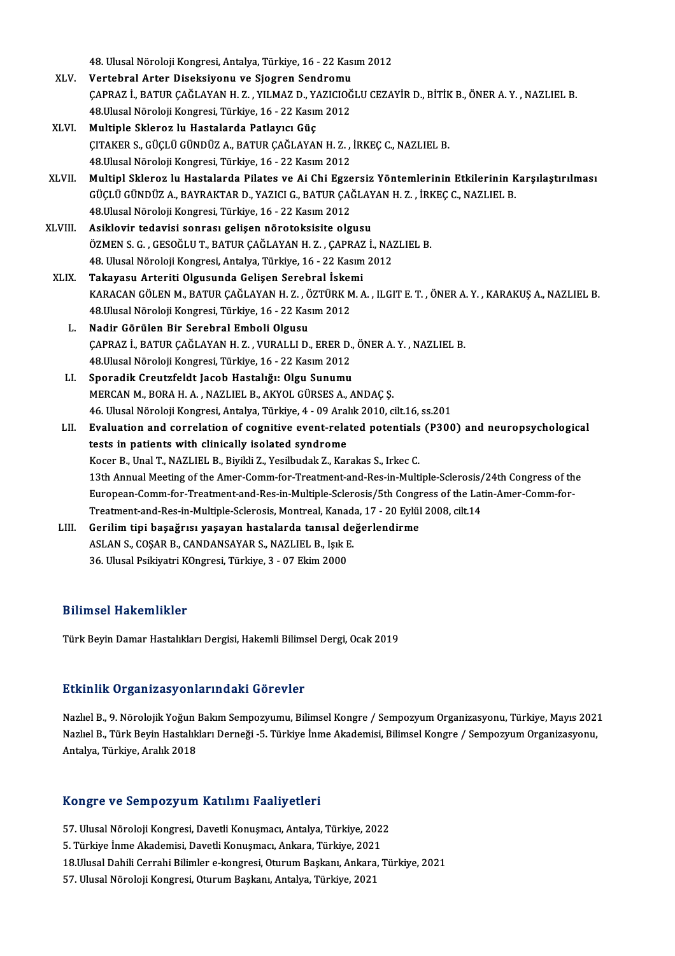|               | 48. Ulusal Nöroloji Kongresi, Antalya, Türkiye, 16 - 22 Kasım 2012                                    |
|---------------|-------------------------------------------------------------------------------------------------------|
| XLV.          | Vertebral Arter Diseksiyonu ve Sjogren Sendromu                                                       |
|               | ÇAPRAZ İ., BATUR ÇAĞLAYAN H. Z. , YILMAZ D., YAZICIOĞLU CEZAYİR D., BİTİK B., ÖNER A. Y. , NAZLIEL B. |
|               | 48. Ulusal Nöroloji Kongresi, Türkiye, 16 - 22 Kasım 2012                                             |
| XLVI.         | Multiple Skleroz lu Hastalarda Patlayıcı Güç                                                          |
|               | ÇITAKER S., GÜÇLÜ GÜNDÜZ A., BATUR ÇAĞLAYAN H. Z., İRKEÇ C., NAZLIEL B.                               |
|               | 48. Ulusal Nöroloji Kongresi, Türkiye, 16 - 22 Kasım 2012                                             |
| XLVII.        | Multipl Skleroz lu Hastalarda Pilates ve Ai Chi Egzersiz Yöntemlerinin Etkilerinin Karşılaştırılması  |
|               | GÜÇLÜ GÜNDÜZ A., BAYRAKTAR D., YAZICI G., BATUR ÇAĞLAYAN H. Z., İRKEÇ C., NAZLIEL B.                  |
|               | 48 Ulusal Nöroloji Kongresi, Türkiye, 16 - 22 Kasım 2012                                              |
| <b>XLVIII</b> | Asiklovir tedavisi sonrası gelişen nörotoksisite olgusu                                               |
|               | ÖZMEN S. G., GESOĞLU T., BATUR ÇAĞLAYAN H. Z., ÇAPRAZ İ., NAZLIEL B.                                  |
|               | 48. Ulusal Nöroloji Kongresi, Antalya, Türkiye, 16 - 22 Kasım 2012                                    |
| XLIX.         | Takayasu Arteriti Olgusunda Gelişen Serebral İskemi                                                   |
|               | KARACAN GÖLEN M., BATUR ÇAĞLAYAN H. Z., ÖZTÜRK M. A., ILGIT E. T., ÖNER A. Y., KARAKUŞ A., NAZLIEL B. |
|               | 48. Ulusal Nöroloji Kongresi, Türkiye, 16 - 22 Kasım 2012                                             |
| L.            | Nadir Görülen Bir Serebral Emboli Olgusu                                                              |
|               | ÇAPRAZ İ., BATUR ÇAĞLAYAN H. Z., VURALLI D., ERER D., ÖNER A. Y., NAZLIEL B.                          |
|               | 48. Ulusal Nöroloji Kongresi, Türkiye, 16 - 22 Kasım 2012                                             |
| LI.           | Sporadik Creutzfeldt Jacob Hastalığı: Olgu Sunumu                                                     |
|               | MERCAN M., BORA H. A., NAZLIEL B., AKYOL GÜRSES A., ANDAÇ Ş.                                          |
|               | 46. Ulusal Nöroloji Kongresi, Antalya, Türkiye, 4 - 09 Aralık 2010, cilt.16, ss.201                   |
| LII.          | Evaluation and correlation of cognitive event-related potentials (P300) and neuropsychological        |
|               | tests in patients with clinically isolated syndrome                                                   |
|               | Kocer B., Unal T., NAZLIEL B., Biyikli Z., Yesilbudak Z., Karakas S., Irkec C.                        |
|               | 13th Annual Meeting of the Amer-Comm-for-Treatment-and-Res-in-Multiple-Sclerosis/24th Congress of the |
|               | European-Comm-for-Treatment-and-Res-in-Multiple-Sclerosis/5th Congress of the Latin-Amer-Comm-for-    |
|               | Treatment-and-Res-in-Multiple-Sclerosis, Montreal, Kanada, 17 - 20 Eylül 2008, cilt.14                |
| LIII.         | Gerilim tipi başağrısı yaşayan hastalarda tanısal değerlendirme                                       |
|               | ASLAN S., COŞAR B., CANDANSAYAR S., NAZLIEL B., Işık E.                                               |
|               | 36. Ulusal Psikiyatri KOngresi, Türkiye, 3 - 07 Ekim 2000                                             |
|               |                                                                                                       |

#### Bilimsel Hakemlikler

Türk Beyin Damar Hastalıkları Dergisi, Hakemli Bilimsel Dergi, Ocak 2019

#### Etkinlik Organizasyonlarındaki Görevler

Etkinlik Organizasyonlarındaki Görevler<br>Nazlıel B., 9. Nörolojik Yoğun Bakım Sempozyumu, Bilimsel Kongre / Sempozyum Organizasyonu, Türkiye, Mayıs 2021<br>Nazlıel B., 9. Nörolojik Yoğun Bakım Sempoži, 5. Türkiye İnme Akademis Senninin Orgamizacy olitar malanı dörevler<br>Nazlıel B., 9. Nörolojik Yoğun Bakım Sempozyumu, Bilimsel Kongre / Sempozyum Organizasyonu, Türkiye, Mayıs 202<br>Antalya Türkiye Aralık 2019 Nazlıel B., 9. Nörolojik Yoğun 1<br>Nazlıel B., Türk Beyin Hastalık<br>Antalya, Türkiye, Aralık 2018 Antalya, Türkiye, Aralık 2018<br>Kongre ve Sempozyum Katılımı Faaliyetleri

Kongre ve Sempozyum Katılımı Faaliyetleri<br>57. Ulusal Nöroloji Kongresi, Davetli Konuşmacı, Antalya, Türkiye, 2022<br>5. Türkiye İnme Akademisi, Davetli Konuşmacı, Ankara, Türkiye, 2021 1911 - 1922) un Nathimi Taariy Stist<br>57. Ulusal Nöroloji Kongresi, Davetli Konuşmacı, Antalya, Türkiye, 2021<br>5. Türkiye İnme Akademisi, Davetli Konuşmacı, Ankara, Türkiye, 2021<br>18 Ulusal Dabili Gerrabi Bilimler e kongresi,

5. Türkiye İnme Akademisi, Davetli Konuşmacı, Ankara, Türkiye, 2021<br>18.Ulusal Dahili Cerrahi Bilimler e-kongresi, Oturum Başkanı, Ankara<br>57. Ulusal Nöroloji Kongresi, Oturum Başkanı, Antalya, Türkiye, 2021

57. Ulusal Nöroloji Kongresi, Davetli Konuşmacı, Antalya, Türkiye, 2022<br>5. Türkiye İnme Akademisi, Davetli Konuşmacı, Ankara, Türkiye, 2021<br>18.Ulusal Dahili Cerrahi Bilimler e-kongresi, Oturum Başkanı, Ankara, Türkiye, 202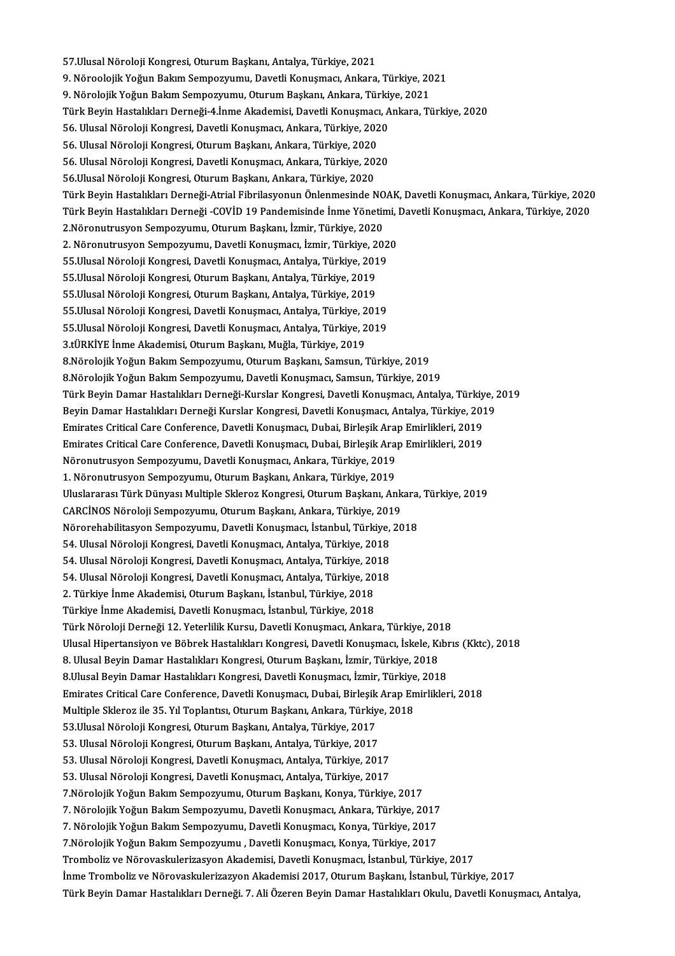57.Ulusal Nöroloji Kongresi, Oturum Başkanı, Antalya, Türkiye, 2021 9. Nöroolojik Yoğun Bakım Sempozyumu, Davetli Konuşmacı, Ankara, Türkiye, 2021 57.Ulusal Nöroloji Kongresi, Oturum Başkanı, Antalya, Türkiye, 2021<br>9. Nöroolojik Yoğun Bakım Sempozyumu, Davetli Konuşmacı, Ankara, Türkiye, 20<br>9. Nörolojik Yoğun Bakım Sempozyumu, Oturum Başkanı, Ankara, Türkiye, 2021<br>Tü 9. Nöroolojik Yoğun Bakım Sempozyumu, Davetli Konuşmacı, Ankara, Türkiye, 2021<br>9. Nörolojik Yoğun Bakım Sempozyumu, Oturum Başkanı, Ankara, Türkiye, 2021<br>Türk Beyin Hastalıkları Derneği-4.İnme Akademisi, Davetli Konuşmacı, 9. Nörolojik Yoğun Bakım Sempozyumu, Oturum Başkanı, Ankara, Türkiy<br>Türk Beyin Hastalıkları Derneği-4.İnme Akademisi, Davetli Konuşmacı, A<br>56. Ulusal Nöroloji Kongresi, Davetli Konuşmacı, Ankara, Türkiye, 2020<br>56. Ulusal N Türk Beyin Hastalıkları Derneği-4.İnme Akademisi, Davetli Konuşmacı<br>56. Ulusal Nöroloji Kongresi, Davetli Konuşmacı, Ankara, Türkiye, 202<br>56. Ulusal Nöroloji Kongresi, Oturum Başkanı, Ankara, Türkiye, 2020<br>56. Ulusal Nörol 56. Ulusal Nöroloji Kongresi, Davetli Konuşmacı, Ankara, Türkiye, 2020<br>56. Ulusal Nöroloji Kongresi, Oturum Başkanı, Ankara, Türkiye, 2020<br>56. Ulusal Nöroloji Kongresi, Davetli Konuşmacı, Ankara, Türkiye, 2020<br>56 Ulusal Nö 56. Ulusal Nöroloji Kongresi, Oturum Başkanı, Ankara, Türkiye, 2020<br>56. Ulusal Nöroloji Kongresi, Davetli Konuşmacı, Ankara, Türkiye, 201<br>56.Ulusal Nöroloji Kongresi, Oturum Başkanı, Ankara, Türkiye, 2020<br>Türk Boyin Hastal 56.Ulusal Nöroloji Kongresi, Oturum Başkanı, Ankara, Türkiye, 2020<br>Türk Bevin Hastalıkları Derneği-Atrial Fibrilasyonun Önlenmesinde NOAK, Davetli Konusmacı, Ankara, Türkiye, 2020 56.Ulusal Nöroloji Kongresi, Oturum Başkanı, Ankara, Türkiye, 2020<br>Türk Beyin Hastalıkları Derneği-Atrial Fibrilasyonun Önlenmesinde NOAK, Davetli Konuşmacı, Ankara, Türkiye, 2020<br>Türk Beyin Hastalıkları Derneği -COVİD 19 Türk Beyin Hastalıkları Derneği-Atrial Fibrilasyonun Önlenmesinde NO<br>Türk Beyin Hastalıkları Derneği -COVİD 19 Pandemisinde İnme Yönetir<br>2.Nöronutrusyon Sempozyumu, Oturum Başkanı, İzmir, Türkiye, 2020<br>2. Nöronutrusyon Sem Türk Beyin Hastalıkları Derneği -COVİD 19 Pandemisinde İnme Yönetimi, İ<br>2.Nöronutrusyon Sempozyumu, Oturum Başkanı, İzmir, Türkiye, 2020<br>2. Nöronutrusyon Sempozyumu, Davetli Konuşmacı, İzmir, Türkiye, 2020<br>55 Ulusal Nörolo 2.Nöronutrusyon Sempozyumu, Oturum Başkanı, İzmir, Türkiye, 2020<br>2. Nöronutrusyon Sempozyumu, Davetli Konuşmacı, İzmir, Türkiye, 2020<br>55.Ulusal Nöroloji Kongresi, Davetli Konuşmacı, Antalya, Türkiye, 2019 2. Nöronutrusyon Sempozyumu, Davetli Konuşmacı, İzmir, Türkiye, 2<br>55.Ulusal Nöroloji Kongresi, Davetli Konuşmacı, Antalya, Türkiye, 201<br>55.Ulusal Nöroloji Kongresi, Oturum Başkanı, Antalya, Türkiye, 2019<br>55.Ulusal Nöroloji 55.Ulusal Nöroloji Kongresi, Davetli Konuşmacı, Antalya, Türkiye, 201<br>55.Ulusal Nöroloji Kongresi, Oturum Başkanı, Antalya, Türkiye, 2019<br>55.Ulusal Nöroloji Kongresi, Oturum Başkanı, Antalya, Türkiye, 2019<br>55 Ulusal Nörolo 55.Ulusal Nöroloji Kongresi, Oturum Başkanı, Antalya, Türkiye, 2019<br>55.Ulusal Nöroloji Kongresi, Oturum Başkanı, Antalya, Türkiye, 2019<br>55.Ulusal Nöroloji Kongresi, Davetli Konuşmacı, Antalya, Türkiye, 2019<br>55 Ulusal Nörol 55.Ulusal Nöroloji Kongresi, Oturum Başkanı, Antalya, Türkiye, 2019<br>55.Ulusal Nöroloji Kongresi, Davetli Konuşmacı, Antalya, Türkiye, 2019<br>55.Ulusal Nöroloji Kongresi, Davetli Konuşmacı, Antalya, Türkiye, 2019<br>2.türkiye İn 55.Ulusal Nöroloji Kongresi, Davetli Konuşmacı, Antalya, Türkiye, 2<br>55.Ulusal Nöroloji Kongresi, Davetli Konuşmacı, Antalya, Türkiye, 2<br>3.tÜRKİYE İnme Akademisi, Oturum Başkanı, Muğla, Türkiye, 2019<br>8 Nörolojik Yoğun Balım 3.tÜRKİYE İnme Akademisi, Oturum Başkanı, Muğla, Türkiye, 2019<br>8.Nörolojik Yoğun Bakım Sempozyumu, Oturum Başkanı, Samsun, Türkiye, 2019 8.Nörolojik Yoğun Bakım Sempozyumu, Davetli Konuşmacı, Samsun, Türkiye, 2019 8.Nörolojik Yoğun Bakım Sempozyumu, Oturum Başkanı, Samsun, Türkiye, 2019<br>8.Nörolojik Yoğun Bakım Sempozyumu, Davetli Konuşmacı, Samsun, Türkiye, 2019<br>Türk Beyin Damar Hastalıkları Derneği-Kurslar Kongresi, Davetli Konuşma 8.Nörolojik Yoğun Bakım Sempozyumu, Davetli Konuşmacı, Samsun, Türkiye, 2019<br>Türk Beyin Damar Hastalıkları Derneği-Kurslar Kongresi, Davetli Konuşmacı, Antalya, Türkiye, 2<br>Beyin Damar Hastalıkları Derneği Kurslar Kongresi, Türk Beyin Damar Hastalıkları Derneği-Kurslar Kongresi, Davetli Konuşmacı, Antalya, Türkiy<br>Beyin Damar Hastalıkları Derneği Kurslar Kongresi, Davetli Konuşmacı, Antalya, Türkiye, 201<br>Emirates Critical Care Conference, Dave Beyin Damar Hastalıkları Derneği Kurslar Kongresi, Davetli Konuşmacı, Antalya, Türkiye, 201<br>Emirates Critical Care Conference, Davetli Konuşmacı, Dubai, Birleşik Arap Emirlikleri, 2019<br>Emirates Critical Care Conference, Da Emirates Critical Care Conference, Davetli Konuşmacı, Dubai, Birleşik Araj<br>Emirates Critical Care Conference, Davetli Konuşmacı, Dubai, Birleşik Araj<br>Nöronutrusyon Sempozyumu, Davetli Konuşmacı, Ankara, Türkiye, 2019<br>1. Nö Emirates Critical Care Conference, Davetli Konuşmacı, Dubai, Birleşik Arap Emirlikleri, 2019<br>Nöronutrusyon Sempozyumu, Davetli Konuşmacı, Ankara, Türkiye, 2019<br>1. Nöronutrusyon Sempozyumu, Oturum Başkanı, Ankara, Türkiye, UluslararasıTürkDünyasıMultiple SklerozKongresi,OturumBaşkanı,Ankara,Türkiye,2019 CARCİNOS Nöroloji Sempozyumu, Oturum Başkanı, Ankara, Türkiye, 2019 Uluslararası Türk Dünyası Multiple Skleroz Kongresi, Oturum Başkanı, Ankara,<br>CARCİNOS Nöroloji Sempozyumu, Oturum Başkanı, Ankara, Türkiye, 2019<br>Nörorehabilitasyon Sempozyumu, Davetli Konuşmacı, İstanbul, Türkiye, 2018<br>54 CARCİNOS Nöroloji Sempozyumu, Oturum Başkanı, Ankara, Türkiye, 201<br>Nörorehabilitasyon Sempozyumu, Davetli Konuşmacı, İstanbul, Türkiye,<br>54. Ulusal Nöroloji Kongresi, Davetli Konuşmacı, Antalya, Türkiye, 2018<br>54. Ulusal Nör Nörorehabilitasyon Sempozyumu, Davetli Konuşmacı, İstanbul, Türkiye,<br>54. Ulusal Nöroloji Kongresi, Davetli Konuşmacı, Antalya, Türkiye, 2018<br>54. Ulusal Nöroloji Kongresi, Davetli Konuşmacı, Antalya, Türkiye, 2018<br>54. Ulusa 54. Ulusal Nöroloji Kongresi, Davetli Konuşmacı, Antalya, Türkiye, 2018<br>54. Ulusal Nöroloji Kongresi, Davetli Konuşmacı, Antalya, Türkiye, 2018<br>54. Ulusal Nöroloji Kongresi, Davetli Konuşmacı, Antalya, Türkiye, 2018 54. Ulusal Nöroloji Kongresi, Davetli Konuşmacı, Antalya, Türkiye, 20<br>54. Ulusal Nöroloji Kongresi, Davetli Konuşmacı, Antalya, Türkiye, 20<br>2. Türkiye İnme Akademisi, Oturum Başkanı, İstanbul, Türkiye, 2018<br>Türkiye İnme Ak 54. Ulusal Nöroloji Kongresi, Davetli Konuşmacı, Antalya, Türkiye, 20<br>2. Türkiye İnme Akademisi, Oturum Başkanı, İstanbul, Türkiye, 2018<br>Türkiye İnme Akademisi, Davetli Konuşmacı, İstanbul, Türkiye, 2018<br>Türk Nöroloji Dern 2. Türkiye İnme Akademisi, Oturum Başkanı, İstanbul, Türkiye, 2018<br>Türkiye İnme Akademisi, Davetli Konuşmacı, İstanbul, Türkiye, 2018<br>Türk Nöroloji Derneği 12. Yeterlilik Kursu, Davetli Konuşmacı, Ankara, Türkiye, 2018<br>Ulu Türkiye İnme Akademisi, Davetli Konuşmacı, İstanbul, Türkiye, 2018<br>Türk Nöroloji Derneği 12. Yeterlilik Kursu, Davetli Konuşmacı, Ankara, Türkiye, 2018<br>Ulusal Hipertansiyon ve Böbrek Hastalıkları Kongresi, Davetli Konuşmac Türk Nöroloji Derneği 12. Yeterlilik Kursu, Davetli Konuşmacı, Ankara, Türkiye, 201<br>Ulusal Hipertansiyon ve Böbrek Hastalıkları Kongresi, Davetli Konuşmacı, İskele, Kı<br>8. Ulusal Beyin Damar Hastalıkları Kongresi, Oturum Ba Ulusal Hipertansiyon ve Böbrek Hastalıkları Kongresi, Davetli Konuşmacı, İskele, Kıbı<br>8. Ulusal Beyin Damar Hastalıkları Kongresi, Oturum Başkanı, İzmir, Türkiye, 2018<br>8.Ulusal Beyin Damar Hastalıkları Kongresi, Davetli Ko Emirates Critical Care Conference, Davetli Konuşmacı, Dubai, Birleşik Arap Emirlikleri, 2018<br>Multiple Skleroz ile 35. Yıl Toplantısı, Oturum Başkanı, Ankara, Türkiye, 2018 8.Ulusal Beyin Damar Hastalıkları Kongresi, Davetli Konuşmacı, İzmir, Türkiye<br>Emirates Critical Care Conference, Davetli Konuşmacı, Dubai, Birleşik Arap En<br>Multiple Skleroz ile 35. Yıl Toplantısı, Oturum Başkanı, Ankara, T Emirates Critical Care Conference, Davetli Konuşmacı, Dubai, Birleşik<br>Multiple Skleroz ile 35. Yıl Toplantısı, Oturum Başkanı, Ankara, Türkiy<br>53.Ulusal Nöroloji Kongresi, Oturum Başkanı, Antalya, Türkiye, 2017<br>53.Ulusal Nö Multiple Skleroz ile 35. Yıl Toplantısı, Oturum Başkanı, Ankara, Türkiye<br>53.Ulusal Nöroloji Kongresi, Oturum Başkanı, Antalya, Türkiye, 2017<br>53. Ulusal Nöroloji Kongresi, Oturum Başkanı, Antalya, Türkiye, 2017<br>53. Ulusal N 53.Ulusal Nöroloji Kongresi, Oturum Başkanı, Antalya, Türkiye, 2017<br>53. Ulusal Nöroloji Kongresi, Oturum Başkanı, Antalya, Türkiye, 2017<br>53. Ulusal Nöroloji Kongresi, Davetli Konuşmacı, Antalya, Türkiye, 2017<br>53. Ulusal Nö 53. Ulusal Nöroloji Kongresi, Oturum Başkanı, Antalya, Türkiye, 2017<br>53. Ulusal Nöroloji Kongresi, Davetli Konuşmacı, Antalya, Türkiye, 2017<br>53. Ulusal Nöroloji Kongresi, Davetli Konuşmacı, Antalya, Türkiye, 2017 7.NörolojikYoğunBakımSempozyumu,OturumBaşkanı,Konya,Türkiye,2017 53. Ulusal Nöroloji Kongresi, Davetli Konuşmacı, Antalya, Türkiye, 2017<br>7.Nörolojik Yoğun Bakım Sempozyumu, Oturum Başkanı, Konya, Türkiye, 2017<br>7. Nörolojik Yoğun Bakım Sempozyumu, Davetli Konuşmacı, Ankara, Türkiye, 2017 7.Nörolojik Yoğun Bakım Sempozyumu, Oturum Başkanı, Konya, Türkiye, 2017<br>7. Nörolojik Yoğun Bakım Sempozyumu, Davetli Konuşmacı, Ankara, Türkiye, 2017<br>7. Nörolojik Yoğun Bakım Sempozyumu, Davetli Konuşmacı, Konya, Türkiye, 7. Nörolojik Yoğun Bakım Sempozyumu, Davetli Konuşmacı, Ankara, Türkiye, 2017<br>7. Nörolojik Yoğun Bakım Sempozyumu, Davetli Konuşmacı, Konya, Türkiye, 2017<br>7.Nörolojik Yoğun Bakım Sempozyumu , Davetli Konuşmacı, Konya, Türk 7. Nörolojik Yoğun Bakım Sempozyumu, Davetli Konuşmacı, Konya, Türkiye, 2017<br>7.Nörolojik Yoğun Bakım Sempozyumu , Davetli Konuşmacı, Konya, Türkiye, 2017<br>Tromboliz ve Nörovaskulerizasyon Akademisi, Davetli Konuşmacı, İstan İnme Tromboliz ve Nörovaskulerizazyon Akademisi 2017, Oturum Başkanı, İstanbul, Türkiye, 2017 Türk Beyin Damar Hastalıkları Derneği. 7. Ali Özeren Beyin Damar Hastalıkları Okulu, Davetli Konuşmacı, Antalya,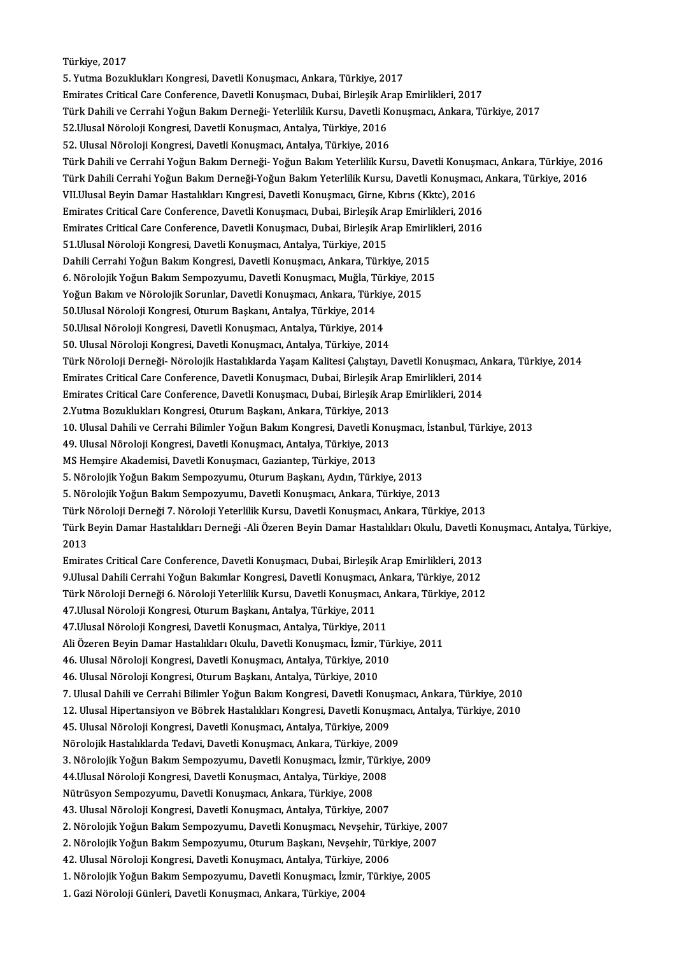Türkiye,2017

5. Yutma Bozuklukları Kongresi, Davetli Konuşmacı, Ankara, Türkiye, 2017 EmiratesCriticalCareConference,DavetliKonuşmacı,Dubai,BirleşikArapEmirlikleri,2017 5. Yutma Bozuklukları Kongresi, Davetli Konuşmacı, Ankara, Türkiye, 2017<br>Emirates Critical Care Conference, Davetli Konuşmacı, Dubai, Birleşik Arap Emirlikleri, 2017<br>Türk Dahili ve Cerrahi Yoğun Bakım Derneği- Yeterlilik K Emirates Critical Care Conference, Davetli Konuşmacı, Dubai, Birleşik Ar<br>Türk Dahili ve Cerrahi Yoğun Bakım Derneği- Yeterlilik Kursu, Davetli K<br>52.Ulusal Nöroloji Kongresi, Davetli Konuşmacı, Antalya, Türkiye, 2016<br>52.Ulu Türk Dahili ve Cerrahi Yoğun Bakım Derneği- Yeterlilik Kursu, Davetli Ko<br>52.Ulusal Nöroloji Kongresi, Davetli Konuşmacı, Antalya, Türkiye, 2016<br>52. Ulusal Nöroloji Kongresi, Davetli Konuşmacı, Antalya, Türkiye, 2016<br>Türk D 52.Ulusal Nöroloji Kongresi, Davetli Konuşmacı, Antalya, Türkiye, 2016<br>52. Ulusal Nöroloji Kongresi, Davetli Konuşmacı, Antalya, Türkiye, 2016<br>Türk Dahili ve Cerrahi Yoğun Bakım Derneği- Yoğun Bakım Yeterlilik Kursu, Davet 52. Ulusal Nöroloji Kongresi, Davetli Konuşmacı, Antalya, Türkiye, 2016<br>Türk Dahili ve Cerrahi Yoğun Bakım Derneği-Yoğun Bakım Yeterlilik Kursu, Davetli Konuşmacı, Ankara, Türkiye, 20<br>Türk Dahili Cerrahi Yoğun Bakım Derneğ Türk Dahili ve Cerrahi Yoğun Bakım Derneği- Yoğun Bakım Yeterlilik Kursu, Davetli Konuşr<br>Türk Dahili Cerrahi Yoğun Bakım Derneği-Yoğun Bakım Yeterlilik Kursu, Davetli Konuşmac<br>VII.Ulusal Beyin Damar Hastalıkları Kıngresi, Türk Dahili Cerrahi Yoğun Bakım Derneği-Yoğun Bakım Yeterlilik Kursu, Davetli Konuşmacı,<br>VII.Ulusal Beyin Damar Hastalıkları Kıngresi, Davetli Konuşmacı, Girne, Kıbrıs (Kktc), 2016<br>Emirates Critical Care Conference, Davetl VII.Ulusal Beyin Damar Hastalıkları Kıngresi, Davetli Konuşmacı, Girne, Kıbrıs (Kktc), 2016<br>Emirates Critical Care Conference, Davetli Konuşmacı, Dubai, Birleşik Arap Emirlikleri, 2016<br>Emirates Critical Care Conference, Da Emirates Critical Care Conference, Davetli Konuşmacı, Dubai, Birleşik Ar<br>Emirates Critical Care Conference, Davetli Konuşmacı, Dubai, Birleşik Ar<br>51.Ulusal Nöroloji Kongresi, Davetli Konuşmacı, Antalya, Türkiye, 2015<br>Dabil Emirates Critical Care Conference, Davetli Konuşmacı, Dubai, Birleşik Arap Emirlikleri, 2016<br>51.Ulusal Nöroloji Kongresi, Davetli Konuşmacı, Antalya, Türkiye, 2015<br>Dahili Cerrahi Yoğun Bakım Kongresi, Davetli Konuşmacı, An 51.Ulusal Nöroloji Kongresi, Davetli Konuşmacı, Antalya, Türkiye, 2015<br>Dahili Cerrahi Yoğun Bakım Kongresi, Davetli Konuşmacı, Ankara, Türkiye, 2015<br>6. Nörolojik Yoğun Bakım Sempozyumu, Davetli Konuşmacı, Muğla, Türkiye, 2 Dahili Cerrahi Yoğun Bakım Kongresi, Davetli Konuşmacı, Ankara, Türkiye, 201!<br>6. Nörolojik Yoğun Bakım Sempozyumu, Davetli Konuşmacı, Muğla, Türkiye, 2015<br>Yoğun Bakım ve Nörolojik Sorunlar, Davetli Konuşmacı, Ankara, Türki 6. Nörolojik Yoğun Bakım Sempozyumu, Davetli Konuşmacı, Muğla, T<br>Yoğun Bakım ve Nörolojik Sorunlar, Davetli Konuşmacı, Ankara, Türk<br>50.Ulusal Nöroloji Kongresi, Oturum Başkanı, Antalya, Türkiye, 2014<br>50.Ulusal Nöroloji Kon Yoğun Bakım ve Nörolojik Sorunlar, Davetli Konuşmacı, Ankara, Türkiye, 2015<br>50.Ulusal Nöroloji Kongresi, Oturum Başkanı, Antalya, Türkiye, 2014<br>50.Ulısal Nöroloji Kongresi, Davetli Konuşmacı, Antalya, Türkiye, 2014<br>50. Ulu 50.Ulısal Nöroloji Kongresi, Davetli Konuşmacı, Antalya, Türkiye, 2014 50.Ulısal Nöroloji Kongresi, Davetli Konuşmacı, Antalya, Türkiye, 2014<br>50. Ulusal Nöroloji Kongresi, Davetli Konuşmacı, Antalya, Türkiye, 2014<br>Türk Nöroloji Derneği- Nörolojik Hastalıklarda Yaşam Kalitesi Çalıştayı, Davetl 50. Ulusal Nöroloji Kongresi, Davetli Konuşmacı, Antalya, Türkiye, 2014<br>Türk Nöroloji Derneği- Nörolojik Hastalıklarda Yaşam Kalitesi Çalıştayı, Davetli Konuşmacı, A<br>Emirates Critical Care Conference, Davetli Konuşmacı, Du Türk Nöroloji Derneği- Nörolojik Hastalıklarda Yaşam Kalitesi Çalıştayı, Davetli Konuşmacı, A<br>Emirates Critical Care Conference, Davetli Konuşmacı, Dubai, Birleşik Arap Emirlikleri, 2014<br>Emirates Critical Care Conference, Emirates Critical Care Conference, Davetli Konuşmacı, Dubai, Birleşik Arap Emirlikleri, 2014<br>Emirates Critical Care Conference, Davetli Konuşmacı, Dubai, Birleşik Arap Emirlikleri, 2014<br>2.Yutma Bozuklukları Kongresi, Oturu Emirates Critical Care Conference, Davetli Konuşmacı, Dubai, Birleşik Arap Emirlikleri, 2014<br>2.Yutma Bozuklukları Kongresi, Oturum Başkanı, Ankara, Türkiye, 2013<br>10. Ulusal Dahili ve Cerrahi Bilimler Yoğun Bakım Kongresi, 2.Yutma Bozuklukları Kongresi, Oturum Başkanı, Ankara, Türkiye, 2013<br>10. Ulusal Dahili ve Cerrahi Bilimler Yoğun Bakım Kongresi, Davetli Konu<br>49. Ulusal Nöroloji Kongresi, Davetli Konuşmacı, Antalya, Türkiye, 2013<br>MS Hemsi 10. Ulusal Dahili ve Cerrahi Bilimler Yoğun Bakım Kongresi, Davetli K<br>49. Ulusal Nöroloji Kongresi, Davetli Konuşmacı, Antalya, Türkiye, 2013<br>MS Hemşire Akademisi, Davetli Konuşmacı, Gaziantep, Türkiye, 2013<br>5. Nörolojik Y 49. Ulusal Nöroloji Kongresi, Davetli Konuşmacı, Antalya, Türkiye, 2013<br>MS Hemşire Akademisi, Davetli Konuşmacı, Gaziantep, Türkiye, 2013<br>5. Nörolojik Yoğun Bakım Sempozyumu, Oturum Başkanı, Aydın, Türkiye, 2013<br>5. Nöroloj MS Hemşire Akademisi, Davetli Konuşmacı, Gaziantep, Türkiye, 2013<br>5. Nörolojik Yoğun Bakım Sempozyumu, Oturum Başkanı, Aydın, Türkiye, 2013<br>5. Nörolojik Yoğun Bakım Sempozyumu, Davetli Konuşmacı, Ankara, Türkiye, 2013<br>Türk 5. Nörolojik Yoğun Bakım Sempozyumu, Davetli Konuşmacı, Ankara, Türkiye, 2013<br>Türk Nöroloji Derneği 7. Nöroloji Yeterlilik Kursu, Davetli Konuşmacı, Ankara, Türkiye, 2013 5. Nörolojik Yoğun Bakım Sempozyumu, Davetli Konuşmacı, Ankara, Türkiye, 2013<br>Türk Nöroloji Derneği 7. Nöroloji Yeterlilik Kursu, Davetli Konuşmacı, Ankara, Türkiye, 2013<br>Türk Beyin Damar Hastalıkları Derneği -Ali Özeren B Türk I<br>Türk I<br>2013 Türk Beyin Damar Hastalıkları Derneği -Ali Özeren Beyin Damar Hastalıkları Okulu, Davetli K<br>2013<br>Emirates Critical Care Conference, Davetli Konuşmacı, Dubai, Birleşik Arap Emirlikleri, 2013<br>9 Ulusal Dabili Carrabi Yeğun Ba 2013<br>Emirates Critical Care Conference, Davetli Konuşmacı, Dubai, Birleşik Arap Emirlikleri, 2013<br>9.Ulusal Dahili Cerrahi Yoğun Bakımlar Kongresi, Davetli Konuşmacı, Ankara, Türkiye, 2012<br>Türk Nöroleji Derneği 6. Nöroleji Emirates Critical Care Conference, Davetli Konuşmacı, Dubai, Birleşik Arap Emirlikleri, 2013<br>9.Ulusal Dahili Cerrahi Yoğun Bakımlar Kongresi, Davetli Konuşmacı, Ankara, Türkiye, 2012<br>Türk Nöroloji Derneği 6. Nöroloji Yeter 9.Ulusal Dahili Cerrahi Yoğun Bakımlar Kongresi, Davetli Konuşmacı,<br>Türk Nöroloji Derneği 6. Nöroloji Yeterlilik Kursu, Davetli Konuşmacı<br>47.Ulusal Nöroloji Kongresi, Oturum Başkanı, Antalya, Türkiye, 2011<br>47.Ulusal Nörolo Türk Nöroloji Derneği 6. Nöroloji Yeterlilik Kursu, Davetli Konuşmacı, A<br>47.Ulusal Nöroloji Kongresi, Oturum Başkanı, Antalya, Türkiye, 2011<br>47.Ulusal Nöroloji Kongresi, Davetli Konuşmacı, Antalya, Türkiye, 2011<br>Ali Özenen 47.Ulusal Nöroloji Kongresi, Oturum Başkanı, Antalya, Türkiye, 2011<br>47.Ulusal Nöroloji Kongresi, Davetli Konuşmacı, Antalya, Türkiye, 2011<br>Ali Özeren Beyin Damar Hastalıkları Okulu, Davetli Konuşmacı, İzmir, Türkiye, 2011<br> 47.Ulusal Nöroloji Kongresi, Davetli Konuşmacı, Antalya, Türkiye, 2011<br>Ali Özeren Beyin Damar Hastalıkları Okulu, Davetli Konuşmacı, İzmir, Tür<br>46. Ulusal Nöroloji Kongresi, Davetli Konuşmacı, Antalya, Türkiye, 2010<br>46. Ul 46. Ulusal Nöroloji Kongresi, Davetli Konuşmacı, Antalya, Türkiye, 2010<br>46. Ulusal Nöroloji Kongresi, Oturum Başkanı, Antalya, Türkiye, 2010 46. Ulusal Nöroloji Kongresi, Davetli Konuşmacı, Antalya, Türkiye, 2010<br>46. Ulusal Nöroloji Kongresi, Oturum Başkanı, Antalya, Türkiye, 2010<br>7. Ulusal Dahili ve Cerrahi Bilimler Yoğun Bakım Kongresi, Davetli Konuşmacı, Ank 46. Ulusal Nöroloji Kongresi, Oturum Başkanı, Antalya, Türkiye, 2010<br>7. Ulusal Dahili ve Cerrahi Bilimler Yoğun Bakım Kongresi, Davetli Konuşmacı, Ankara, Türkiye, 2010<br>12. Ulusal Hipertansiyon ve Böbrek Hastalıkları Kongr 7. Ulusal Dahili ve Cerrahi Bilimler Yoğun Bakım Kongresi, Davetli Konuş<br>12. Ulusal Hipertansiyon ve Böbrek Hastalıkları Kongresi, Davetli Konuş<br>45. Ulusal Nöroloji Kongresi, Davetli Konuşmacı, Antalya, Türkiye, 2009<br>Nörol 12. Ulusal Hipertansiyon ve Böbrek Hastalıkları Kongresi, Davetli Konuşma<br>45. Ulusal Nöroloji Kongresi, Davetli Konuşmacı, Antalya, Türkiye, 2009<br>Nörolojik Hastalıklarda Tedavi, Davetli Konuşmacı, Ankara, Türkiye, 2009<br>2. 45. Ulusal Nöroloji Kongresi, Davetli Konuşmacı, Antalya, Türkiye, 2009<br>Nörolojik Hastalıklarda Tedavi, Davetli Konuşmacı, Ankara, Türkiye, 2009<br>3. Nörolojik Yoğun Bakım Sempozyumu, Davetli Konuşmacı, İzmir, Türkiye, 2009<br> Nörolojik Hastalıklarda Tedavi, Davetli Konuşmacı, Ankara, Türkiye, 200<br>3. Nörolojik Yoğun Bakım Sempozyumu, Davetli Konuşmacı, İzmir, Türk<br>44.Ulusal Nöroloji Kongresi, Davetli Konuşmacı, Antalya, Türkiye, 2008<br>Nütrüsyon S Nütrüsyon Sempozyumu, Davetli Konuşmacı, Ankara, Türkiye, 2008 43. Ulusal Nöroloji Kongresi, Davetli Konuşmacı, Antalya, Türkiye, 2007 Nütrüsyon Sempozyumu, Davetli Konuşmacı, Ankara, Türkiye, 2008<br>43. Ulusal Nöroloji Kongresi, Davetli Konuşmacı, Antalya, Türkiye, 2007<br>2. Nörolojik Yoğun Bakım Sempozyumu, Davetli Konuşmacı, Nevşehir, Türkiye, 2007<br>2. Nöro 43. Ulusal Nöroloji Kongresi, Davetli Konuşmacı, Antalya, Türkiye, 2007<br>2. Nörolojik Yoğun Bakım Sempozyumu, Davetli Konuşmacı, Nevşehir, Türkiye, 200<br>2. Nörolojik Yoğun Bakım Sempozyumu, Oturum Başkanı, Nevşehir, Türkiye, 2. Nörolojik Yoğun Bakım Sempozyumu, Davetli Konuşmacı, Nevşehir, Türk<br>2. Nörolojik Yoğun Bakım Sempozyumu, Oturum Başkanı, Nevşehir, Türk<br>42. Ulusal Nöroloji Kongresi, Davetli Konuşmacı, Antalya, Türkiye, 2006<br>1. Nöroloji 2. Nörolojik Yoğun Bakım Sempozyumu, Oturum Başkanı, Nevşehir, Türkiye, 2007<br>42. Ulusal Nöroloji Kongresi, Davetli Konuşmacı, Antalya, Türkiye, 2006<br>1. Nörolojik Yoğun Bakım Sempozyumu, Davetli Konuşmacı, İzmir, Türkiye, 2 42. Ulusal Nöroloji Kongresi, Davetli Konuşmacı, Antalya, Türkiye, 2006<br>1. Nörolojik Yoğun Bakım Sempozyumu, Davetli Konuşmacı, İzmir, Türkiye, 2005<br>1. Gazi Nöroloji Günleri, Davetli Konuşmacı, Ankara, Türkiye, 2004